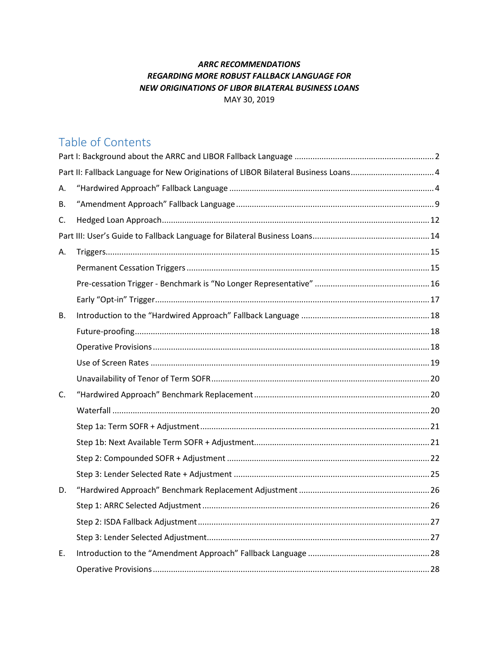# **ARRC RECOMMENDATIONS** REGARDING MORE ROBUST FALLBACK LANGUAGE FOR NEW ORIGINATIONS OF LIBOR BILATERAL BUSINESS LOANS MAY 30, 2019

# Table of Contents

| Part II: Fallback Language for New Originations of LIBOR Bilateral Business Loans4 |  |  |
|------------------------------------------------------------------------------------|--|--|
| А.                                                                                 |  |  |
| В.                                                                                 |  |  |
| C.                                                                                 |  |  |
|                                                                                    |  |  |
| А.                                                                                 |  |  |
|                                                                                    |  |  |
|                                                                                    |  |  |
|                                                                                    |  |  |
| В.                                                                                 |  |  |
|                                                                                    |  |  |
|                                                                                    |  |  |
|                                                                                    |  |  |
|                                                                                    |  |  |
| C.                                                                                 |  |  |
|                                                                                    |  |  |
|                                                                                    |  |  |
|                                                                                    |  |  |
|                                                                                    |  |  |
|                                                                                    |  |  |
| D.                                                                                 |  |  |
|                                                                                    |  |  |
|                                                                                    |  |  |
|                                                                                    |  |  |
| Е.                                                                                 |  |  |
|                                                                                    |  |  |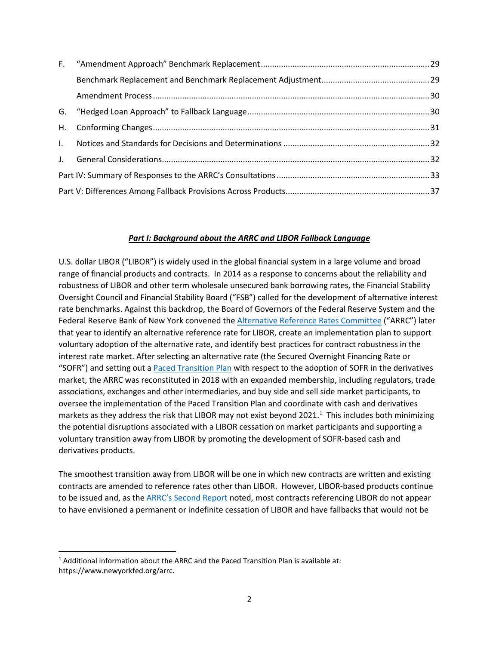#### *Part I: Background about the ARRC and LIBOR Fallback Language*

<span id="page-1-0"></span>U.S. dollar LIBOR ("LIBOR") is widely used in the global financial system in a large volume and broad range of financial products and contracts. In 2014 as a response to concerns about the reliability and robustness of LIBOR and other term wholesale unsecured bank borrowing rates, the Financial Stability Oversight Council and Financial Stability Board ("FSB") called for the development of alternative interest rate benchmarks. Against this backdrop, the Board of Governors of the Federal Reserve System and the Federal Reserve Bank of New York convened the [Alternative Reference Rates Committee](https://www.newyorkfed.org/arrc/index.html) ("ARRC") later that year to identify an alternative reference rate for LIBOR, create an implementation plan to support voluntary adoption of the alternative rate, and identify best practices for contract robustness in the interest rate market. After selecting an alternative rate (the Secured Overnight Financing Rate or "SOFR") and setting out a [Paced Transition Plan](https://www.newyorkfed.org/medialibrary/microsites/arrc/files/2017/October-31-2017-ARRC-minutes.pdf) with respect to the adoption of SOFR in the derivatives market, the ARRC was reconstituted in 2018 with an expanded membership, including regulators, trade associations, exchanges and other intermediaries, and buy side and sell side market participants, to oversee the implementation of the Paced Transition Plan and coordinate with cash and derivatives markets as they address the risk that LIBOR may not exist beyond 2021. [1](#page-1-1) This includes both minimizing the potential disruptions associated with a LIBOR cessation on market participants and supporting a voluntary transition away from LIBOR by promoting the development of SOFR-based cash and derivatives products.

The smoothest transition away from LIBOR will be one in which new contracts are written and existing contracts are amended to reference rates other than LIBOR. However, LIBOR-based products continue to be issued and, as the [ARRC's Second Report](https://www.newyorkfed.org/medialibrary/Microsites/arrc/files/2018/ARRC-Second-report) noted, most contracts referencing LIBOR do not appear to have envisioned a permanent or indefinite cessation of LIBOR and have fallbacks that would not be

<span id="page-1-1"></span> $1$  Additional information about the ARRC and the Paced Transition Plan is available at: https://www.newyorkfed.org/arrc.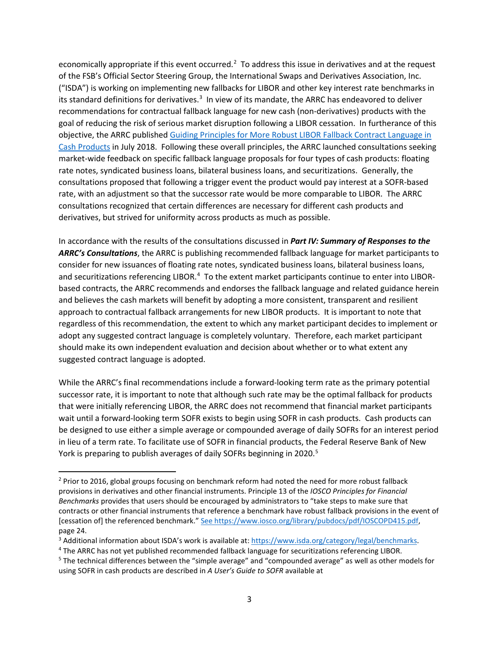economically appropriate if this event occurred.<sup>[2](#page-2-0)</sup> To address this issue in derivatives and at the request of the FSB's Official Sector Steering Group, the International Swaps and Derivatives Association, Inc. ("ISDA") is working on implementing new fallbacks for LIBOR and other key interest rate benchmarks in its standard definitions for derivatives.<sup>[3](#page-2-1)</sup> In view of its mandate, the ARRC has endeavored to deliver recommendations for contractual fallback language for new cash (non-derivatives) products with the goal of reducing the risk of serious market disruption following a LIBOR cessation. In furtherance of this objective, the ARRC publishe[d Guiding Principles for More Robust LIBOR Fallback Contract Language in](https://www.newyorkfed.org/medialibrary/Microsites/arrc/files/2018/ARRC-principles-July2018)  [Cash Products](https://www.newyorkfed.org/medialibrary/Microsites/arrc/files/2018/ARRC-principles-July2018) in July 2018. Following these overall principles, the ARRC launched consultations seeking market-wide feedback on specific fallback language proposals for four types of cash products: floating rate notes, syndicated business loans, bilateral business loans, and securitizations. Generally, the consultations proposed that following a trigger event the product would pay interest at a SOFR-based rate, with an adjustment so that the successor rate would be more comparable to LIBOR. The ARRC consultations recognized that certain differences are necessary for different cash products and derivatives, but strived for uniformity across products as much as possible.

In accordance with the results of the consultations discussed in *Part IV: Summary of Responses to the ARRC's Consultations*, the ARRC is publishing recommended fallback language for market participants to consider for new issuances of floating rate notes, syndicated business loans, bilateral business loans, and securitizations referencing LIBOR.<sup>[4](#page-2-2)</sup> To the extent market participants continue to enter into LIBORbased contracts, the ARRC recommends and endorses the fallback language and related guidance herein and believes the cash markets will benefit by adopting a more consistent, transparent and resilient approach to contractual fallback arrangements for new LIBOR products. It is important to note that regardless of this recommendation, the extent to which any market participant decides to implement or adopt any suggested contract language is completely voluntary. Therefore, each market participant should make its own independent evaluation and decision about whether or to what extent any suggested contract language is adopted.

While the ARRC's final recommendations include a forward-looking term rate as the primary potential successor rate, it is important to note that although such rate may be the optimal fallback for products that were initially referencing LIBOR, the ARRC does not recommend that financial market participants wait until a forward-looking term SOFR exists to begin using SOFR in cash products. Cash products can be designed to use either a simple average or compounded average of daily SOFRs for an interest period in lieu of a term rate. To facilitate use of SOFR in financial products, the Federal Reserve Bank of New York is preparing to publish averages of daily SOFRs beginning in 2020.<sup>[5](#page-2-3)</sup>

<span id="page-2-0"></span><sup>&</sup>lt;sup>2</sup> Prior to 2016, global groups focusing on benchmark reform had noted the need for more robust fallback provisions in derivatives and other financial instruments. Principle 13 of the *IOSCO Principles for Financial Benchmarks* provides that users should be encouraged by administrators to "take steps to make sure that contracts or other financial instruments that reference a benchmark have robust fallback provisions in the event of [cessation of] the referenced benchmark." See https://www.iosco.org/library/pubdocs/pdf/IOSCOPD415.pdf, page 24.

<span id="page-2-1"></span><sup>&</sup>lt;sup>3</sup> Additional information about ISDA's work is available at: [https://www.isda.org/category/legal/benchmarks.](https://www.isda.org/category/legal/benchmarks/)

<span id="page-2-2"></span><sup>4</sup> The ARRC has not yet published recommended fallback language for securitizations referencing LIBOR.

<span id="page-2-3"></span><sup>5</sup> The technical differences between the "simple average" and "compounded average" as well as other models for using SOFR in cash products are described in *A User's Guide to SOFR* available at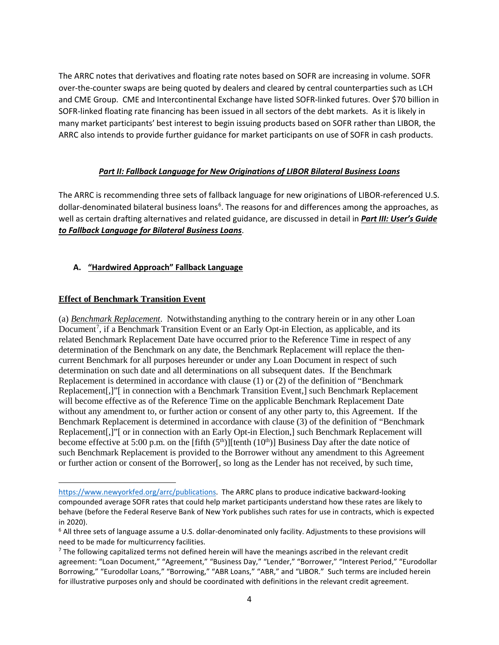The ARRC notes that derivatives and floating rate notes based on SOFR are increasing in volume. SOFR over-the-counter swaps are being quoted by dealers and cleared by central counterparties such as LCH and CME Group. CME and Intercontinental Exchange have listed SOFR-linked futures. Over \$70 billion in SOFR-linked floating rate financing has been issued in all sectors of the debt markets. As it is likely in many market participants' best interest to begin issuing products based on SOFR rather than LIBOR, the ARRC also intends to provide further guidance for market participants on use of SOFR in cash products.

### *Part II: Fallback Language for New Originations of LIBOR Bilateral Business Loans*

<span id="page-3-0"></span>The ARRC is recommending three sets of fallback language for new originations of LIBOR-referenced U.S. dollar-denominated bilateral business loans<sup>[6](#page-3-2)</sup>. The reasons for and differences among the approaches, as well as certain drafting alternatives and related guidance, are discussed in detail in *Part III: User's Guide to Fallback Language for Bilateral Business Loans*.

# <span id="page-3-1"></span>**A. "Hardwired Approach" Fallback Language**

### **Effect of Benchmark Transition Event**

l

(a) *Benchmark Replacement*. Notwithstanding anything to the contrary herein or in any other Loan Document<sup>[7](#page-3-3)</sup>, if a Benchmark Transition Event or an Early Opt-in Election, as applicable, and its related Benchmark Replacement Date have occurred prior to the Reference Time in respect of any determination of the Benchmark on any date, the Benchmark Replacement will replace the thencurrent Benchmark for all purposes hereunder or under any Loan Document in respect of such determination on such date and all determinations on all subsequent dates. If the Benchmark Replacement is determined in accordance with clause (1) or (2) of the definition of "Benchmark Replacement[,]"[ in connection with a Benchmark Transition Event,] such Benchmark Replacement will become effective as of the Reference Time on the applicable Benchmark Replacement Date without any amendment to, or further action or consent of any other party to, this Agreement. If the Benchmark Replacement is determined in accordance with clause (3) of the definition of "Benchmark Replacement[,]"[ or in connection with an Early Opt-in Election,] such Benchmark Replacement will become effective at 5:00 p.m. on the [fifth  $(5<sup>th</sup>)$ ][tenth  $(10<sup>th</sup>)$ ] Business Day after the date notice of such Benchmark Replacement is provided to the Borrower without any amendment to this Agreement or further action or consent of the Borrower[, so long as the Lender has not received, by such time,

[https://www.newyorkfed.org/arrc/publications.](https://www.newyorkfed.org/arrc/publications) The ARRC plans to produce indicative backward-looking compounded average SOFR rates that could help market participants understand how these rates are likely to behave (before the Federal Reserve Bank of New York publishes such rates for use in contracts, which is expected in 2020).

<span id="page-3-2"></span><sup>6</sup> All three sets of language assume a U.S. dollar-denominated only facility. Adjustments to these provisions will need to be made for multicurrency facilities.

<span id="page-3-3"></span> $7$  The following capitalized terms not defined herein will have the meanings ascribed in the relevant credit agreement: "Loan Document," "Agreement," "Business Day," "Lender," "Borrower," "Interest Period," "Eurodollar Borrowing," "Eurodollar Loans," "Borrowing," "ABR Loans," "ABR," and "LIBOR." Such terms are included herein for illustrative purposes only and should be coordinated with definitions in the relevant credit agreement.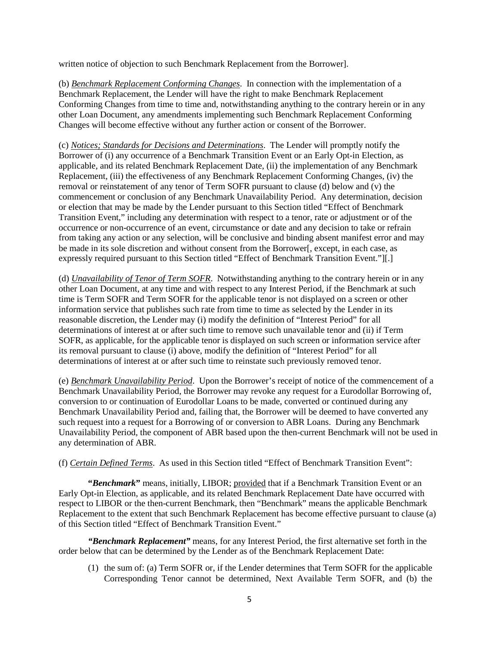written notice of objection to such Benchmark Replacement from the Borrower].

(b) *Benchmark Replacement Conforming Changes*. In connection with the implementation of a Benchmark Replacement, the Lender will have the right to make Benchmark Replacement Conforming Changes from time to time and, notwithstanding anything to the contrary herein or in any other Loan Document, any amendments implementing such Benchmark Replacement Conforming Changes will become effective without any further action or consent of the Borrower.

(c) *Notices; Standards for Decisions and Determinations*. The Lender will promptly notify the Borrower of (i) any occurrence of a Benchmark Transition Event or an Early Opt-in Election, as applicable, and its related Benchmark Replacement Date, (ii) the implementation of any Benchmark Replacement, (iii) the effectiveness of any Benchmark Replacement Conforming Changes, (iv) the removal or reinstatement of any tenor of Term SOFR pursuant to clause (d) below and (v) the commencement or conclusion of any Benchmark Unavailability Period. Any determination, decision or election that may be made by the Lender pursuant to this Section titled "Effect of Benchmark Transition Event," including any determination with respect to a tenor, rate or adjustment or of the occurrence or non-occurrence of an event, circumstance or date and any decision to take or refrain from taking any action or any selection, will be conclusive and binding absent manifest error and may be made in its sole discretion and without consent from the Borrower[, except, in each case, as expressly required pursuant to this Section titled "Effect of Benchmark Transition Event."][.]

(d) *Unavailability of Tenor of Term SOFR*. Notwithstanding anything to the contrary herein or in any other Loan Document, at any time and with respect to any Interest Period, if the Benchmark at such time is Term SOFR and Term SOFR for the applicable tenor is not displayed on a screen or other information service that publishes such rate from time to time as selected by the Lender in its reasonable discretion, the Lender may (i) modify the definition of "Interest Period" for all determinations of interest at or after such time to remove such unavailable tenor and (ii) if Term SOFR, as applicable, for the applicable tenor is displayed on such screen or information service after its removal pursuant to clause (i) above, modify the definition of "Interest Period" for all determinations of interest at or after such time to reinstate such previously removed tenor.

(e) *Benchmark Unavailability Period*. Upon the Borrower's receipt of notice of the commencement of a Benchmark Unavailability Period, the Borrower may revoke any request for a Eurodollar Borrowing of, conversion to or continuation of Eurodollar Loans to be made, converted or continued during any Benchmark Unavailability Period and, failing that, the Borrower will be deemed to have converted any such request into a request for a Borrowing of or conversion to ABR Loans. During any Benchmark Unavailability Period, the component of ABR based upon the then-current Benchmark will not be used in any determination of ABR.

(f) *Certain Defined Terms*. As used in this Section titled "Effect of Benchmark Transition Event":

**"***Benchmark***"** means, initially, LIBOR; provided that if a Benchmark Transition Event or an Early Opt-in Election, as applicable, and its related Benchmark Replacement Date have occurred with respect to LIBOR or the then-current Benchmark, then "Benchmark" means the applicable Benchmark Replacement to the extent that such Benchmark Replacement has become effective pursuant to clause (a) of this Section titled "Effect of Benchmark Transition Event."

*"Benchmark Replacement"* means, for any Interest Period, the first alternative set forth in the order below that can be determined by the Lender as of the Benchmark Replacement Date:

(1) the sum of: (a) Term SOFR or, if the Lender determines that Term SOFR for the applicable Corresponding Tenor cannot be determined, Next Available Term SOFR, and (b) the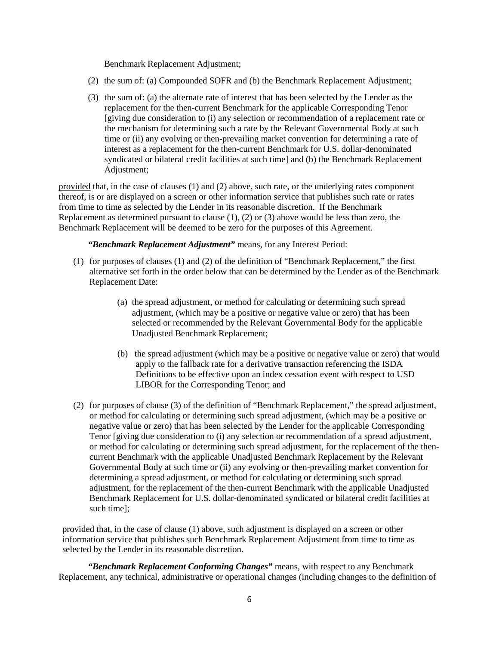Benchmark Replacement Adjustment;

- (2) the sum of: (a) Compounded SOFR and (b) the Benchmark Replacement Adjustment;
- (3) the sum of: (a) the alternate rate of interest that has been selected by the Lender as the replacement for the then-current Benchmark for the applicable Corresponding Tenor [giving due consideration to (i) any selection or recommendation of a replacement rate or the mechanism for determining such a rate by the Relevant Governmental Body at such time or (ii) any evolving or then-prevailing market convention for determining a rate of interest as a replacement for the then-current Benchmark for U.S. dollar-denominated syndicated or bilateral credit facilities at such time] and (b) the Benchmark Replacement Adjustment;

provided that, in the case of clauses (1) and (2) above, such rate, or the underlying rates component thereof, is or are displayed on a screen or other information service that publishes such rate or rates from time to time as selected by the Lender in its reasonable discretion. If the Benchmark Replacement as determined pursuant to clause (1), (2) or (3) above would be less than zero, the Benchmark Replacement will be deemed to be zero for the purposes of this Agreement.

*"Benchmark Replacement Adjustment"* means, for any Interest Period:

- (1) for purposes of clauses (1) and (2) of the definition of "Benchmark Replacement," the first alternative set forth in the order below that can be determined by the Lender as of the Benchmark Replacement Date:
	- (a) the spread adjustment, or method for calculating or determining such spread adjustment, (which may be a positive or negative value or zero) that has been selected or recommended by the Relevant Governmental Body for the applicable Unadjusted Benchmark Replacement;
	- (b) the spread adjustment (which may be a positive or negative value or zero) that would apply to the fallback rate for a derivative transaction referencing the ISDA Definitions to be effective upon an index cessation event with respect to USD LIBOR for the Corresponding Tenor; and
- (2) for purposes of clause (3) of the definition of "Benchmark Replacement," the spread adjustment, or method for calculating or determining such spread adjustment, (which may be a positive or negative value or zero) that has been selected by the Lender for the applicable Corresponding Tenor [giving due consideration to (i) any selection or recommendation of a spread adjustment, or method for calculating or determining such spread adjustment, for the replacement of the thencurrent Benchmark with the applicable Unadjusted Benchmark Replacement by the Relevant Governmental Body at such time or (ii) any evolving or then-prevailing market convention for determining a spread adjustment, or method for calculating or determining such spread adjustment, for the replacement of the then-current Benchmark with the applicable Unadjusted Benchmark Replacement for U.S. dollar-denominated syndicated or bilateral credit facilities at such time];

provided that, in the case of clause (1) above, such adjustment is displayed on a screen or other information service that publishes such Benchmark Replacement Adjustment from time to time as selected by the Lender in its reasonable discretion.

*"Benchmark Replacement Conforming Changes"* means, with respect to any Benchmark Replacement, any technical, administrative or operational changes (including changes to the definition of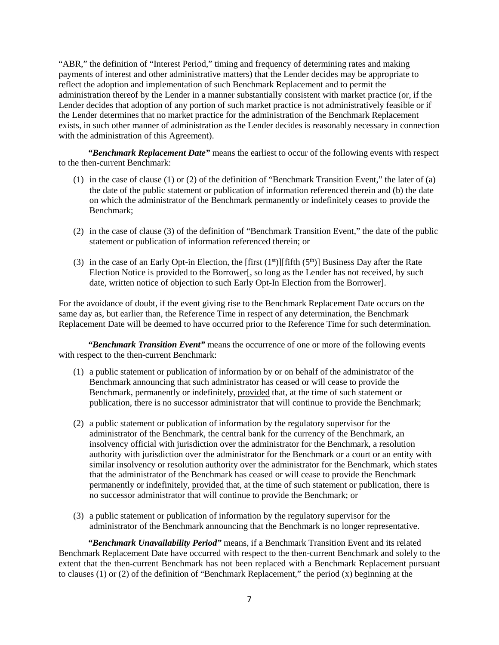"ABR," the definition of "Interest Period," timing and frequency of determining rates and making payments of interest and other administrative matters) that the Lender decides may be appropriate to reflect the adoption and implementation of such Benchmark Replacement and to permit the administration thereof by the Lender in a manner substantially consistent with market practice (or, if the Lender decides that adoption of any portion of such market practice is not administratively feasible or if the Lender determines that no market practice for the administration of the Benchmark Replacement exists, in such other manner of administration as the Lender decides is reasonably necessary in connection with the administration of this Agreement).

*"Benchmark Replacement Date"* means the earliest to occur of the following events with respect to the then-current Benchmark:

- (1) in the case of clause (1) or (2) of the definition of "Benchmark Transition Event," the later of (a) the date of the public statement or publication of information referenced therein and (b) the date on which the administrator of the Benchmark permanently or indefinitely ceases to provide the Benchmark;
- (2) in the case of clause (3) of the definition of "Benchmark Transition Event," the date of the public statement or publication of information referenced therein; or
- (3) in the case of an Early Opt-in Election, the [first  $(1<sup>st</sup>)[fifth (5<sup>th</sup>)]$  Business Day after the Rate Election Notice is provided to the Borrower[, so long as the Lender has not received, by such date, written notice of objection to such Early Opt-In Election from the Borrower].

For the avoidance of doubt, if the event giving rise to the Benchmark Replacement Date occurs on the same day as, but earlier than, the Reference Time in respect of any determination, the Benchmark Replacement Date will be deemed to have occurred prior to the Reference Time for such determination.

*"Benchmark Transition Event"* means the occurrence of one or more of the following events with respect to the then-current Benchmark:

- (1) a public statement or publication of information by or on behalf of the administrator of the Benchmark announcing that such administrator has ceased or will cease to provide the Benchmark, permanently or indefinitely, provided that, at the time of such statement or publication, there is no successor administrator that will continue to provide the Benchmark;
- (2) a public statement or publication of information by the regulatory supervisor for the administrator of the Benchmark, the central bank for the currency of the Benchmark, an insolvency official with jurisdiction over the administrator for the Benchmark, a resolution authority with jurisdiction over the administrator for the Benchmark or a court or an entity with similar insolvency or resolution authority over the administrator for the Benchmark, which states that the administrator of the Benchmark has ceased or will cease to provide the Benchmark permanently or indefinitely, provided that, at the time of such statement or publication, there is no successor administrator that will continue to provide the Benchmark; or
- (3) a public statement or publication of information by the regulatory supervisor for the administrator of the Benchmark announcing that the Benchmark is no longer representative.

*"Benchmark Unavailability Period"* means, if a Benchmark Transition Event and its related Benchmark Replacement Date have occurred with respect to the then-current Benchmark and solely to the extent that the then-current Benchmark has not been replaced with a Benchmark Replacement pursuant to clauses (1) or (2) of the definition of "Benchmark Replacement," the period (x) beginning at the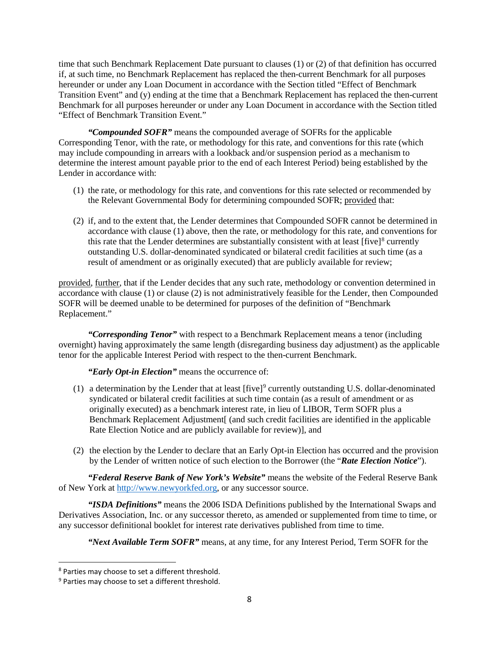time that such Benchmark Replacement Date pursuant to clauses (1) or (2) of that definition has occurred if, at such time, no Benchmark Replacement has replaced the then-current Benchmark for all purposes hereunder or under any Loan Document in accordance with the Section titled "Effect of Benchmark Transition Event" and (y) ending at the time that a Benchmark Replacement has replaced the then-current Benchmark for all purposes hereunder or under any Loan Document in accordance with the Section titled "Effect of Benchmark Transition Event."

*"Compounded SOFR"* means the compounded average of SOFRs for the applicable Corresponding Tenor, with the rate, or methodology for this rate, and conventions for this rate (which may include compounding in arrears with a lookback and/or suspension period as a mechanism to determine the interest amount payable prior to the end of each Interest Period) being established by the Lender in accordance with:

- (1) the rate, or methodology for this rate, and conventions for this rate selected or recommended by the Relevant Governmental Body for determining compounded SOFR; provided that:
- (2) if, and to the extent that, the Lender determines that Compounded SOFR cannot be determined in accordance with clause (1) above, then the rate, or methodology for this rate, and conventions for this rate that the Lender determines are substantially consistent with at least  $[five]^8$  $[five]^8$  currently outstanding U.S. dollar-denominated syndicated or bilateral credit facilities at such time (as a result of amendment or as originally executed) that are publicly available for review;

provided, further, that if the Lender decides that any such rate, methodology or convention determined in accordance with clause (1) or clause (2) is not administratively feasible for the Lender, then Compounded SOFR will be deemed unable to be determined for purposes of the definition of "Benchmark Replacement."

*"Corresponding Tenor"* with respect to a Benchmark Replacement means a tenor (including overnight) having approximately the same length (disregarding business day adjustment) as the applicable tenor for the applicable Interest Period with respect to the then-current Benchmark.

*"Early Opt-in Election"* means the occurrence of:

- (1) a determination by the Lender that at least  $[\text{five}]^9$  $[\text{five}]^9$  currently outstanding U.S. dollar-denominated syndicated or bilateral credit facilities at such time contain (as a result of amendment or as originally executed) as a benchmark interest rate, in lieu of LIBOR, Term SOFR plus a Benchmark Replacement Adjustment[ (and such credit facilities are identified in the applicable Rate Election Notice and are publicly available for review)], and
- (2) the election by the Lender to declare that an Early Opt-in Election has occurred and the provision by the Lender of written notice of such election to the Borrower (the "*Rate Election Notice*").

*"Federal Reserve Bank of New York's Website"* means the website of the Federal Reserve Bank of New York at [http://www.newyorkfed.org,](http://www.newyorkfed.org/) or any successor source.

*"ISDA Definitions"* means the 2006 ISDA Definitions published by the International Swaps and Derivatives Association, Inc. or any successor thereto, as amended or supplemented from time to time, or any successor definitional booklet for interest rate derivatives published from time to time.

*"Next Available Term SOFR"* means, at any time, for any Interest Period, Term SOFR for the

<span id="page-7-0"></span> <sup>8</sup> Parties may choose to set a different threshold.

<span id="page-7-1"></span><sup>&</sup>lt;sup>9</sup> Parties may choose to set a different threshold.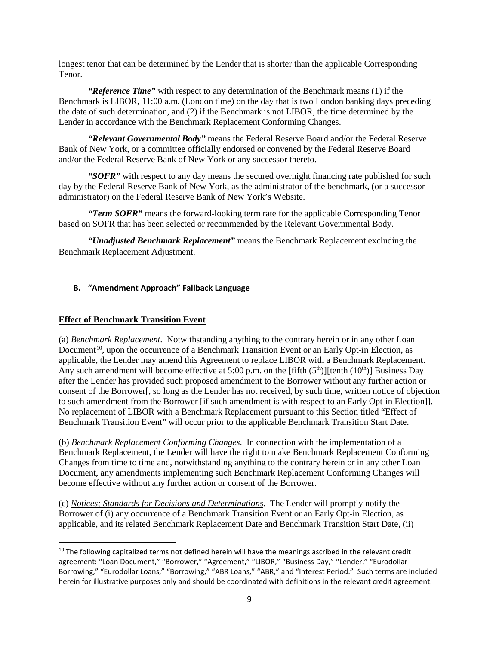longest tenor that can be determined by the Lender that is shorter than the applicable Corresponding Tenor.

*"Reference Time"* with respect to any determination of the Benchmark means (1) if the Benchmark is LIBOR, 11:00 a.m. (London time) on the day that is two London banking days preceding the date of such determination, and (2) if the Benchmark is not LIBOR, the time determined by the Lender in accordance with the Benchmark Replacement Conforming Changes.

*"Relevant Governmental Body"* means the Federal Reserve Board and/or the Federal Reserve Bank of New York, or a committee officially endorsed or convened by the Federal Reserve Board and/or the Federal Reserve Bank of New York or any successor thereto.

*"SOFR"* with respect to any day means the secured overnight financing rate published for such day by the Federal Reserve Bank of New York, as the administrator of the benchmark, (or a successor administrator) on the Federal Reserve Bank of New York's Website.

*"Term SOFR"* means the forward-looking term rate for the applicable Corresponding Tenor based on SOFR that has been selected or recommended by the Relevant Governmental Body.

*"Unadjusted Benchmark Replacement"* means the Benchmark Replacement excluding the Benchmark Replacement Adjustment.

### <span id="page-8-0"></span>**B. "Amendment Approach" Fallback Language**

#### **Effect of Benchmark Transition Event**

(a) *Benchmark Replacement*. Notwithstanding anything to the contrary herein or in any other Loan Document<sup>[10](#page-8-1)</sup>, upon the occurrence of a Benchmark Transition Event or an Early Opt-in Election, as applicable, the Lender may amend this Agreement to replace LIBOR with a Benchmark Replacement. Any such amendment will become effective at 5:00 p.m. on the [fifth  $(5<sup>th</sup>)$ ][tenth  $(10<sup>th</sup>)$ ] Business Day after the Lender has provided such proposed amendment to the Borrower without any further action or consent of the Borrower[, so long as the Lender has not received, by such time, written notice of objection to such amendment from the Borrower [if such amendment is with respect to an Early Opt-in Election]]. No replacement of LIBOR with a Benchmark Replacement pursuant to this Section titled "Effect of Benchmark Transition Event" will occur prior to the applicable Benchmark Transition Start Date.

(b) *Benchmark Replacement Conforming Changes*. In connection with the implementation of a Benchmark Replacement, the Lender will have the right to make Benchmark Replacement Conforming Changes from time to time and, notwithstanding anything to the contrary herein or in any other Loan Document, any amendments implementing such Benchmark Replacement Conforming Changes will become effective without any further action or consent of the Borrower.

(c) *Notices; Standards for Decisions and Determinations*. The Lender will promptly notify the Borrower of (i) any occurrence of a Benchmark Transition Event or an Early Opt-in Election, as applicable, and its related Benchmark Replacement Date and Benchmark Transition Start Date, (ii)

<span id="page-8-1"></span> $10$  The following capitalized terms not defined herein will have the meanings ascribed in the relevant credit agreement: "Loan Document," "Borrower," "Agreement," "LIBOR," "Business Day," "Lender," "Eurodollar Borrowing," "Eurodollar Loans," "Borrowing," "ABR Loans," "ABR," and "Interest Period." Such terms are included herein for illustrative purposes only and should be coordinated with definitions in the relevant credit agreement.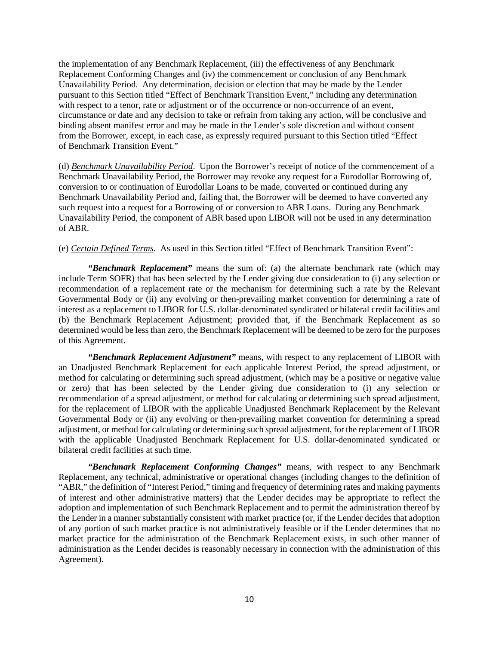the implementation of any Benchmark Replacement, (iii) the effectiveness of any Benchmark Replacement Conforming Changes and (iv) the commencement or conclusion of any Benchmark Unavailability Period. Any determination, decision or election that may be made by the Lender pursuant to this Section titled "Effect of Benchmark Transition Event," including any determination with respect to a tenor, rate or adjustment or of the occurrence or non-occurrence of an event, circumstance or date and any decision to take or refrain from taking any action, will be conclusive and binding absent manifest error and may be made in the Lender's sole discretion and without consent from the Borrower, except, in each case, as expressly required pursuant to this Section titled "Effect of Benchmark Transition Event."

(d) *Benchmark Unavailability Period*. Upon the Borrower's receipt of notice of the commencement of a Benchmark Unavailability Period, the Borrower may revoke any request for a Eurodollar Borrowing of, conversion to or continuation of Eurodollar Loans to be made, converted or continued during any Benchmark Unavailability Period and, failing that, the Borrower will be deemed to have converted any such request into a request for a Borrowing of or conversion to ABR Loans. During any Benchmark Unavailability Period, the component of ABR based upon LIBOR will not be used in any determination of ABR.

(e) *Certain Defined Terms*. As used in this Section titled "Effect of Benchmark Transition Event":

*"Benchmark Replacement"* means the sum of: (a) the alternate benchmark rate (which may include Term SOFR) that has been selected by the Lender giving due consideration to (i) any selection or recommendation of a replacement rate or the mechanism for determining such a rate by the Relevant Governmental Body or (ii) any evolving or then-prevailing market convention for determining a rate of interest as a replacement to LIBOR for U.S. dollar-denominated syndicated or bilateral credit facilities and (b) the Benchmark Replacement Adjustment; provided that, if the Benchmark Replacement as so determined would be less than zero, the Benchmark Replacement will be deemed to be zero for the purposes of this Agreement.

*"Benchmark Replacement Adjustment"* means, with respect to any replacement of LIBOR with an Unadjusted Benchmark Replacement for each applicable Interest Period, the spread adjustment, or method for calculating or determining such spread adjustment, (which may be a positive or negative value or zero) that has been selected by the Lender giving due consideration to (i) any selection or recommendation of a spread adjustment, or method for calculating or determining such spread adjustment, for the replacement of LIBOR with the applicable Unadjusted Benchmark Replacement by the Relevant Governmental Body or (ii) any evolving or then-prevailing market convention for determining a spread adjustment, or method for calculating or determining such spread adjustment, for the replacement of LIBOR with the applicable Unadjusted Benchmark Replacement for U.S. dollar-denominated syndicated or bilateral credit facilities at such time.

*"Benchmark Replacement Conforming Changes"* means, with respect to any Benchmark Replacement, any technical, administrative or operational changes (including changes to the definition of "ABR," the definition of "Interest Period," timing and frequency of determining rates and making payments of interest and other administrative matters) that the Lender decides may be appropriate to reflect the adoption and implementation of such Benchmark Replacement and to permit the administration thereof by the Lender in a manner substantially consistent with market practice (or, if the Lender decides that adoption of any portion of such market practice is not administratively feasible or if the Lender determines that no market practice for the administration of the Benchmark Replacement exists, in such other manner of administration as the Lender decides is reasonably necessary in connection with the administration of this Agreement).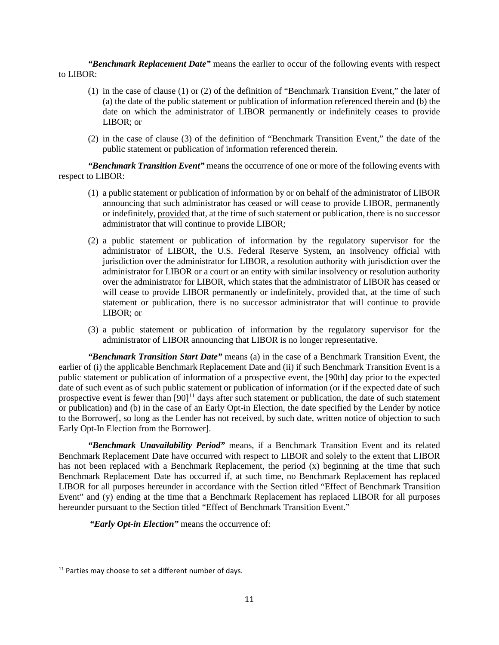*"Benchmark Replacement Date"* means the earlier to occur of the following events with respect to LIBOR:

- (1) in the case of clause (1) or (2) of the definition of "Benchmark Transition Event," the later of (a) the date of the public statement or publication of information referenced therein and (b) the date on which the administrator of LIBOR permanently or indefinitely ceases to provide LIBOR; or
- (2) in the case of clause (3) of the definition of "Benchmark Transition Event," the date of the public statement or publication of information referenced therein.

*"Benchmark Transition Event"* means the occurrence of one or more of the following events with respect to LIBOR:

- (1) a public statement or publication of information by or on behalf of the administrator of LIBOR announcing that such administrator has ceased or will cease to provide LIBOR, permanently or indefinitely, provided that, at the time of such statement or publication, there is no successor administrator that will continue to provide LIBOR;
- (2) a public statement or publication of information by the regulatory supervisor for the administrator of LIBOR, the U.S. Federal Reserve System, an insolvency official with jurisdiction over the administrator for LIBOR, a resolution authority with jurisdiction over the administrator for LIBOR or a court or an entity with similar insolvency or resolution authority over the administrator for LIBOR, which states that the administrator of LIBOR has ceased or will cease to provide LIBOR permanently or indefinitely, provided that, at the time of such statement or publication, there is no successor administrator that will continue to provide LIBOR; or
- (3) a public statement or publication of information by the regulatory supervisor for the administrator of LIBOR announcing that LIBOR is no longer representative.

*"Benchmark Transition Start Date"* means (a) in the case of a Benchmark Transition Event, the earlier of (i) the applicable Benchmark Replacement Date and (ii) if such Benchmark Transition Event is a public statement or publication of information of a prospective event, the [90th] day prior to the expected date of such event as of such public statement or publication of information (or if the expected date of such prospective event is fewer than [90]<sup>[11](#page-10-0)</sup> days after such statement or publication, the date of such statement or publication) and (b) in the case of an Early Opt-in Election, the date specified by the Lender by notice to the Borrower[, so long as the Lender has not received, by such date, written notice of objection to such Early Opt-In Election from the Borrower].

*"Benchmark Unavailability Period"* means, if a Benchmark Transition Event and its related Benchmark Replacement Date have occurred with respect to LIBOR and solely to the extent that LIBOR has not been replaced with a Benchmark Replacement, the period (x) beginning at the time that such Benchmark Replacement Date has occurred if, at such time, no Benchmark Replacement has replaced LIBOR for all purposes hereunder in accordance with the Section titled "Effect of Benchmark Transition Event" and (y) ending at the time that a Benchmark Replacement has replaced LIBOR for all purposes hereunder pursuant to the Section titled "Effect of Benchmark Transition Event."

*"Early Opt-in Election"* means the occurrence of:

<span id="page-10-0"></span> $11$  Parties may choose to set a different number of days.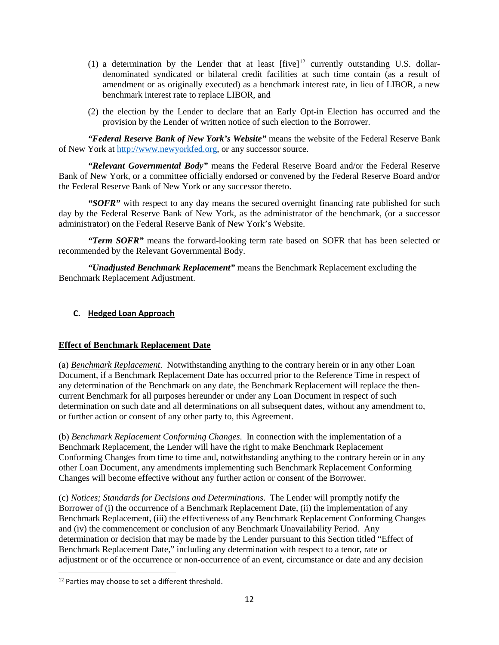- (1) a determination by the Lender that at least  $[five]^{\text{12}}$  $[five]^{\text{12}}$  $[five]^{\text{12}}$  currently outstanding U.S. dollardenominated syndicated or bilateral credit facilities at such time contain (as a result of amendment or as originally executed) as a benchmark interest rate, in lieu of LIBOR, a new benchmark interest rate to replace LIBOR, and
- (2) the election by the Lender to declare that an Early Opt-in Election has occurred and the provision by the Lender of written notice of such election to the Borrower.

*"Federal Reserve Bank of New York's Website"* means the website of the Federal Reserve Bank of New York at [http://www.newyorkfed.org,](http://www.newyorkfed.org/) or any successor source.

*"Relevant Governmental Body"* means the Federal Reserve Board and/or the Federal Reserve Bank of New York, or a committee officially endorsed or convened by the Federal Reserve Board and/or the Federal Reserve Bank of New York or any successor thereto.

*"SOFR"* with respect to any day means the secured overnight financing rate published for such day by the Federal Reserve Bank of New York, as the administrator of the benchmark, (or a successor administrator) on the Federal Reserve Bank of New York's Website.

*"Term SOFR"* means the forward-looking term rate based on SOFR that has been selected or recommended by the Relevant Governmental Body.

*"Unadjusted Benchmark Replacement"* means the Benchmark Replacement excluding the Benchmark Replacement Adjustment.

### <span id="page-11-0"></span>**C. Hedged Loan Approach**

#### **Effect of Benchmark Replacement Date**

(a) *Benchmark Replacement*. Notwithstanding anything to the contrary herein or in any other Loan Document, if a Benchmark Replacement Date has occurred prior to the Reference Time in respect of any determination of the Benchmark on any date, the Benchmark Replacement will replace the thencurrent Benchmark for all purposes hereunder or under any Loan Document in respect of such determination on such date and all determinations on all subsequent dates, without any amendment to, or further action or consent of any other party to, this Agreement.

(b) *Benchmark Replacement Conforming Changes*. In connection with the implementation of a Benchmark Replacement, the Lender will have the right to make Benchmark Replacement Conforming Changes from time to time and, notwithstanding anything to the contrary herein or in any other Loan Document, any amendments implementing such Benchmark Replacement Conforming Changes will become effective without any further action or consent of the Borrower.

(c) *Notices; Standards for Decisions and Determinations*. The Lender will promptly notify the Borrower of (i) the occurrence of a Benchmark Replacement Date, (ii) the implementation of any Benchmark Replacement, (iii) the effectiveness of any Benchmark Replacement Conforming Changes and (iv) the commencement or conclusion of any Benchmark Unavailability Period. Any determination or decision that may be made by the Lender pursuant to this Section titled "Effect of Benchmark Replacement Date," including any determination with respect to a tenor, rate or adjustment or of the occurrence or non-occurrence of an event, circumstance or date and any decision

<span id="page-11-1"></span><sup>&</sup>lt;sup>12</sup> Parties may choose to set a different threshold.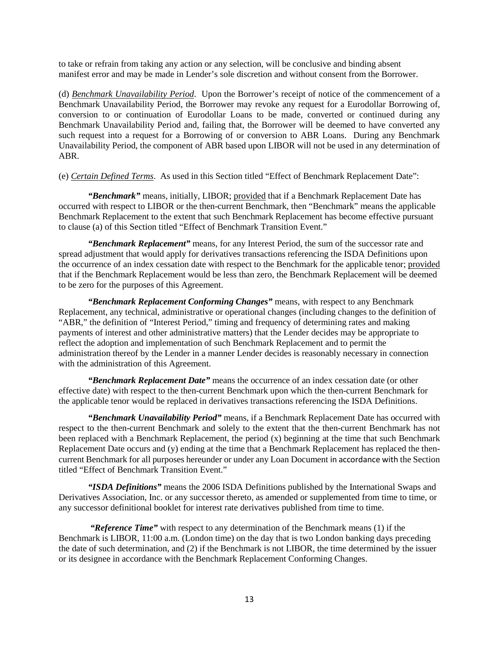to take or refrain from taking any action or any selection, will be conclusive and binding absent manifest error and may be made in Lender's sole discretion and without consent from the Borrower.

(d) *Benchmark Unavailability Period*. Upon the Borrower's receipt of notice of the commencement of a Benchmark Unavailability Period, the Borrower may revoke any request for a Eurodollar Borrowing of, conversion to or continuation of Eurodollar Loans to be made, converted or continued during any Benchmark Unavailability Period and, failing that, the Borrower will be deemed to have converted any such request into a request for a Borrowing of or conversion to ABR Loans. During any Benchmark Unavailability Period, the component of ABR based upon LIBOR will not be used in any determination of ABR.

(e) *Certain Defined Terms*. As used in this Section titled "Effect of Benchmark Replacement Date":

*"Benchmark"* means, initially, LIBOR; provided that if a Benchmark Replacement Date has occurred with respect to LIBOR or the then-current Benchmark, then "Benchmark" means the applicable Benchmark Replacement to the extent that such Benchmark Replacement has become effective pursuant to clause (a) of this Section titled "Effect of Benchmark Transition Event."

*"Benchmark Replacement"* means, for any Interest Period, the sum of the successor rate and spread adjustment that would apply for derivatives transactions referencing the ISDA Definitions upon the occurrence of an index cessation date with respect to the Benchmark for the applicable tenor; provided that if the Benchmark Replacement would be less than zero, the Benchmark Replacement will be deemed to be zero for the purposes of this Agreement.

*"Benchmark Replacement Conforming Changes"* means, with respect to any Benchmark Replacement, any technical, administrative or operational changes (including changes to the definition of "ABR," the definition of "Interest Period," timing and frequency of determining rates and making payments of interest and other administrative matters) that the Lender decides may be appropriate to reflect the adoption and implementation of such Benchmark Replacement and to permit the administration thereof by the Lender in a manner Lender decides is reasonably necessary in connection with the administration of this Agreement.

*"Benchmark Replacement Date"* means the occurrence of an index cessation date (or other effective date) with respect to the then-current Benchmark upon which the then-current Benchmark for the applicable tenor would be replaced in derivatives transactions referencing the ISDA Definitions.

*"Benchmark Unavailability Period"* means, if a Benchmark Replacement Date has occurred with respect to the then-current Benchmark and solely to the extent that the then-current Benchmark has not been replaced with a Benchmark Replacement, the period (x) beginning at the time that such Benchmark Replacement Date occurs and (y) ending at the time that a Benchmark Replacement has replaced the thencurrent Benchmark for all purposes hereunder or under any Loan Document in accordance with the Section titled "Effect of Benchmark Transition Event."

*"ISDA Definitions"* means the 2006 ISDA Definitions published by the International Swaps and Derivatives Association, Inc. or any successor thereto, as amended or supplemented from time to time, or any successor definitional booklet for interest rate derivatives published from time to time.

*"Reference Time"* with respect to any determination of the Benchmark means (1) if the Benchmark is LIBOR, 11:00 a.m. (London time) on the day that is two London banking days preceding the date of such determination, and (2) if the Benchmark is not LIBOR, the time determined by the issuer or its designee in accordance with the Benchmark Replacement Conforming Changes.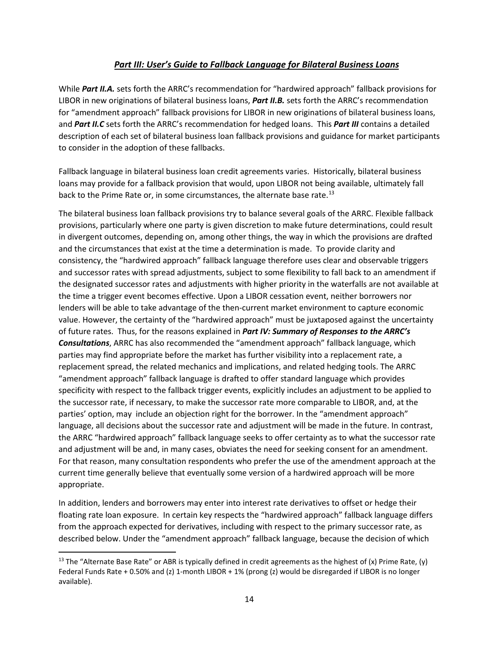# *Part III: User's Guide to Fallback Language for Bilateral Business Loans*

<span id="page-13-0"></span>While *Part II.A.* sets forth the ARRC's recommendation for "hardwired approach" fallback provisions for LIBOR in new originations of bilateral business loans, *Part II.B.* sets forth the ARRC's recommendation for "amendment approach" fallback provisions for LIBOR in new originations of bilateral business loans, and *Part II.C* sets forth the ARRC's recommendation for hedged loans. This *Part III* contains a detailed description of each set of bilateral business loan fallback provisions and guidance for market participants to consider in the adoption of these fallbacks.

Fallback language in bilateral business loan credit agreements varies. Historically, bilateral business loans may provide for a fallback provision that would, upon LIBOR not being available, ultimately fall back to the Prime Rate or, in some circumstances, the alternate base rate.<sup>[13](#page-13-1)</sup>

The bilateral business loan fallback provisions try to balance several goals of the ARRC. Flexible fallback provisions, particularly where one party is given discretion to make future determinations, could result in divergent outcomes, depending on, among other things, the way in which the provisions are drafted and the circumstances that exist at the time a determination is made. To provide clarity and consistency, the "hardwired approach" fallback language therefore uses clear and observable triggers and successor rates with spread adjustments, subject to some flexibility to fall back to an amendment if the designated successor rates and adjustments with higher priority in the waterfalls are not available at the time a trigger event becomes effective. Upon a LIBOR cessation event, neither borrowers nor lenders will be able to take advantage of the then-current market environment to capture economic value. However, the certainty of the "hardwired approach" must be juxtaposed against the uncertainty of future rates. Thus, for the reasons explained in *Part IV: Summary of Responses to the ARRC's Consultations*, ARRC has also recommended the "amendment approach" fallback language, which parties may find appropriate before the market has further visibility into a replacement rate, a replacement spread, the related mechanics and implications, and related hedging tools. The ARRC "amendment approach" fallback language is drafted to offer standard language which provides specificity with respect to the fallback trigger events, explicitly includes an adjustment to be applied to the successor rate, if necessary, to make the successor rate more comparable to LIBOR, and, at the parties' option, may include an objection right for the borrower. In the "amendment approach" language, all decisions about the successor rate and adjustment will be made in the future. In contrast, the ARRC "hardwired approach" fallback language seeks to offer certainty as to what the successor rate and adjustment will be and, in many cases, obviates the need for seeking consent for an amendment. For that reason, many consultation respondents who prefer the use of the amendment approach at the current time generally believe that eventually some version of a hardwired approach will be more appropriate.

In addition, lenders and borrowers may enter into interest rate derivatives to offset or hedge their floating rate loan exposure. In certain key respects the "hardwired approach" fallback language differs from the approach expected for derivatives, including with respect to the primary successor rate, as described below. Under the "amendment approach" fallback language, because the decision of which

<span id="page-13-1"></span><sup>&</sup>lt;sup>13</sup> The "Alternate Base Rate" or ABR is typically defined in credit agreements as the highest of (x) Prime Rate, (y) Federal Funds Rate + 0.50% and (z) 1-month LIBOR + 1% (prong (z) would be disregarded if LIBOR is no longer available).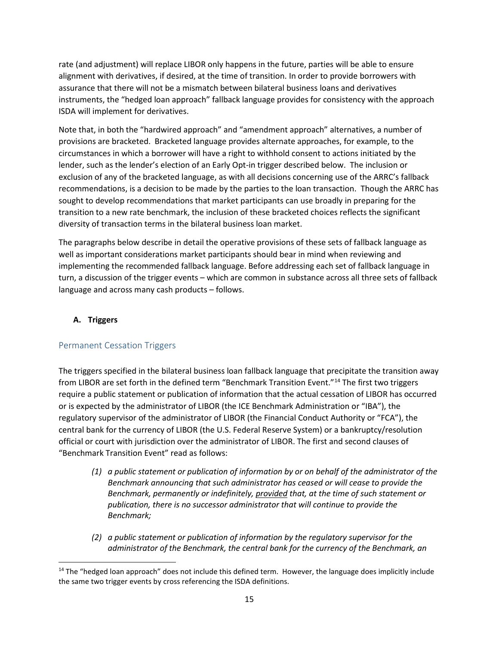rate (and adjustment) will replace LIBOR only happens in the future, parties will be able to ensure alignment with derivatives, if desired, at the time of transition. In order to provide borrowers with assurance that there will not be a mismatch between bilateral business loans and derivatives instruments, the "hedged loan approach" fallback language provides for consistency with the approach ISDA will implement for derivatives.

Note that, in both the "hardwired approach" and "amendment approach" alternatives, a number of provisions are bracketed. Bracketed language provides alternate approaches, for example, to the circumstances in which a borrower will have a right to withhold consent to actions initiated by the lender, such as the lender's election of an Early Opt-in trigger described below. The inclusion or exclusion of any of the bracketed language, as with all decisions concerning use of the ARRC's fallback recommendations, is a decision to be made by the parties to the loan transaction. Though the ARRC has sought to develop recommendations that market participants can use broadly in preparing for the transition to a new rate benchmark, the inclusion of these bracketed choices reflects the significant diversity of transaction terms in the bilateral business loan market.

The paragraphs below describe in detail the operative provisions of these sets of fallback language as well as important considerations market participants should bear in mind when reviewing and implementing the recommended fallback language. Before addressing each set of fallback language in turn, a discussion of the trigger events – which are common in substance across all three sets of fallback language and across many cash products – follows.

# <span id="page-14-0"></span>**A. Triggers**

# <span id="page-14-1"></span>Permanent Cessation Triggers

The triggers specified in the bilateral business loan fallback language that precipitate the transition away from LIBOR are set forth in the defined term "Benchmark Transition Event."[14](#page-14-2) The first two triggers require a public statement or publication of information that the actual cessation of LIBOR has occurred or is expected by the administrator of LIBOR (the ICE Benchmark Administration or "IBA"), the regulatory supervisor of the administrator of LIBOR (the Financial Conduct Authority or "FCA"), the central bank for the currency of LIBOR (the U.S. Federal Reserve System) or a bankruptcy/resolution official or court with jurisdiction over the administrator of LIBOR. The first and second clauses of "Benchmark Transition Event" read as follows:

- *(1) a public statement or publication of information by or on behalf of the administrator of the Benchmark announcing that such administrator has ceased or will cease to provide the Benchmark, permanently or indefinitely, provided that, at the time of such statement or publication, there is no successor administrator that will continue to provide the Benchmark;*
- *(2) a public statement or publication of information by the regulatory supervisor for the administrator of the Benchmark, the central bank for the currency of the Benchmark, an*

<span id="page-14-2"></span> $14$  The "hedged loan approach" does not include this defined term. However, the language does implicitly include the same two trigger events by cross referencing the ISDA definitions.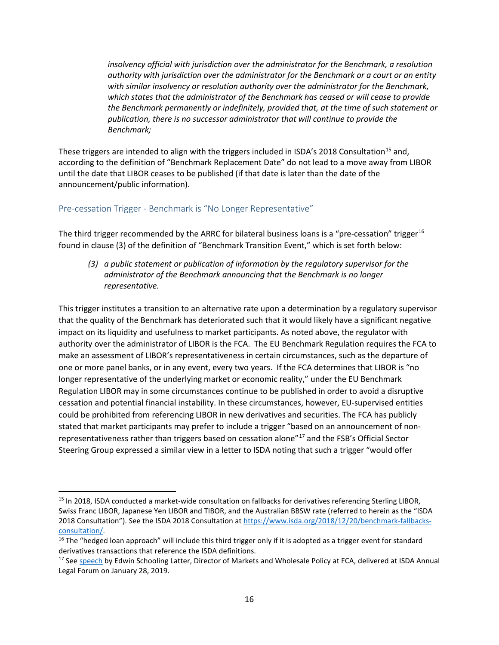*insolvency official with jurisdiction over the administrator for the Benchmark, a resolution authority with jurisdiction over the administrator for the Benchmark or a court or an entity with similar insolvency or resolution authority over the administrator for the Benchmark, which states that the administrator of the Benchmark has ceased or will cease to provide the Benchmark permanently or indefinitely, provided that, at the time of such statement or publication, there is no successor administrator that will continue to provide the Benchmark;*

These triggers are intended to align with the triggers included in ISDA's 2018 Consultation<sup>15</sup> and, according to the definition of "Benchmark Replacement Date" do not lead to a move away from LIBOR until the date that LIBOR ceases to be published (if that date is later than the date of the announcement/public information).

### <span id="page-15-0"></span>Pre-cessation Trigger - Benchmark is "No Longer Representative"

The third trigger recommended by the ARRC for bilateral business loans is a "pre-cessation" trigger<sup>[16](#page-15-2)</sup> found in clause (3) of the definition of "Benchmark Transition Event," which is set forth below:

*(3) a public statement or publication of information by the regulatory supervisor for the administrator of the Benchmark announcing that the Benchmark is no longer representative.* 

This trigger institutes a transition to an alternative rate upon a determination by a regulatory supervisor that the quality of the Benchmark has deteriorated such that it would likely have a significant negative impact on its liquidity and usefulness to market participants. As noted above, the regulator with authority over the administrator of LIBOR is the FCA. The EU Benchmark Regulation requires the FCA to make an assessment of LIBOR's representativeness in certain circumstances, such as the departure of one or more panel banks, or in any event, every two years. If the FCA determines that LIBOR is "no longer representative of the underlying market or economic reality," under th[e EU Benchmark](https://eur-lex.europa.eu/legal-content/EN/TXT/?uri=uriserv:OJ.L_.2016.171.01.0001.01.ENG&toc=OJ:L:2016:171:TOC)  [Regulation](https://eur-lex.europa.eu/legal-content/EN/TXT/?uri=uriserv:OJ.L_.2016.171.01.0001.01.ENG&toc=OJ:L:2016:171:TOC) LIBOR may in some circumstances continue to be published in order to avoid a disruptive cessation and potential financial instability. In these circumstances, however, EU-supervised entities could be prohibited from referencing LIBOR in new derivatives and securities. The FCA has publicly stated that market participants may prefer to include a trigger "based on an announcement of nonrepresentativeness rather than triggers based on cessation alone"[17](#page-15-3) and the FSB's Official Sector Steering Group expressed a similar view in a letter to ISDA noting that such a trigger "would offer

<span id="page-15-1"></span><sup>&</sup>lt;sup>15</sup> In 2018, ISDA conducted a market-wide consultation on fallbacks for derivatives referencing Sterling LIBOR, Swiss Franc LIBOR, Japanese Yen LIBOR and TIBOR, and the Australian BBSW rate (referred to herein as the "ISDA 2018 Consultation"). See the ISDA 2018 Consultation at [https://www.isda.org/2018/12/20/benchmark-fallbacks](https://www.isda.org/2018/12/20/benchmark-fallbacks-consultation/)[consultation/.](https://www.isda.org/2018/12/20/benchmark-fallbacks-consultation/)

<span id="page-15-2"></span><sup>&</sup>lt;sup>16</sup> The "hedged loan approach" will include this third trigger only if it is adopted as a trigger event for standard derivatives transactions that reference the ISDA definitions.

<span id="page-15-3"></span><sup>&</sup>lt;sup>17</sup> Se[e speech](https://www.fca.org.uk/news/speeches/libor-transition-and-contractual-fallbacks) by Edwin Schooling Latter, Director of Markets and Wholesale Policy at FCA, delivered at ISDA Annual Legal Forum on January 28, 2019.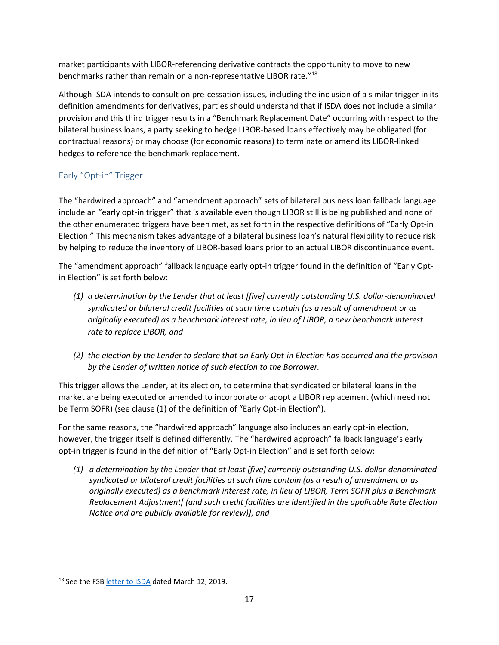market participants with LIBOR-referencing derivative contracts the opportunity to move to new benchmarks rather than remain on a non-representative LIBOR rate."[18](#page-16-1)

Although ISDA intends to consult on pre-cessation issues, including the inclusion of a similar trigger in its definition amendments for derivatives, parties should understand that if ISDA does not include a similar provision and this third trigger results in a "Benchmark Replacement Date" occurring with respect to the bilateral business loans, a party seeking to hedge LIBOR-based loans effectively may be obligated (for contractual reasons) or may choose (for economic reasons) to terminate or amend its LIBOR-linked hedges to reference the benchmark replacement.

# <span id="page-16-0"></span>Early "Opt-in" Trigger

The "hardwired approach" and "amendment approach" sets of bilateral business loan fallback language include an "early opt-in trigger" that is available even though LIBOR still is being published and none of the other enumerated triggers have been met, as set forth in the respective definitions of "Early Opt-in Election." This mechanism takes advantage of a bilateral business loan's natural flexibility to reduce risk by helping to reduce the inventory of LIBOR-based loans prior to an actual LIBOR discontinuance event.

The "amendment approach" fallback language early opt-in trigger found in the definition of "Early Optin Election" is set forth below:

- *(1) a determination by the Lender that at least [five] currently outstanding U.S. dollar-denominated syndicated or bilateral credit facilities at such time contain (as a result of amendment or as originally executed) as a benchmark interest rate, in lieu of LIBOR, a new benchmark interest rate to replace LIBOR, and*
- *(2) the election by the Lender to declare that an Early Opt-in Election has occurred and the provision by the Lender of written notice of such election to the Borrower.*

This trigger allows the Lender, at its election, to determine that syndicated or bilateral loans in the market are being executed or amended to incorporate or adopt a LIBOR replacement (which need not be Term SOFR) (see clause (1) of the definition of "Early Opt-in Election").

For the same reasons, the "hardwired approach" language also includes an early opt-in election, however, the trigger itself is defined differently. The "hardwired approach" fallback language's early opt-in trigger is found in the definition of "Early Opt-in Election" and is set forth below:

*(1) a determination by the Lender that at least [five] currently outstanding U.S. dollar-denominated syndicated or bilateral credit facilities at such time contain (as a result of amendment or as originally executed) as a benchmark interest rate, in lieu of LIBOR, Term SOFR plus a Benchmark Replacement Adjustment[ (and such credit facilities are identified in the applicable Rate Election Notice and are publicly available for review)], and*

<span id="page-16-1"></span><sup>&</sup>lt;sup>18</sup> See the FSB [letter to ISDA](http://www.fsb.org/wp-content/uploads/P150319.pdf) dated March 12, 2019.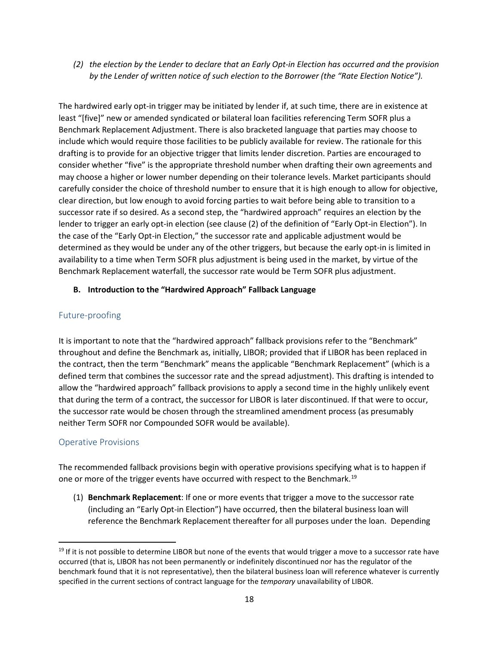*(2) the election by the Lender to declare that an Early Opt-in Election has occurred and the provision by the Lender of written notice of such election to the Borrower (the "Rate Election Notice").*

The hardwired early opt-in trigger may be initiated by lender if, at such time, there are in existence at least "[five]" new or amended syndicated or bilateral loan facilities referencing Term SOFR plus a Benchmark Replacement Adjustment. There is also bracketed language that parties may choose to include which would require those facilities to be publicly available for review. The rationale for this drafting is to provide for an objective trigger that limits lender discretion. Parties are encouraged to consider whether "five" is the appropriate threshold number when drafting their own agreements and may choose a higher or lower number depending on their tolerance levels. Market participants should carefully consider the choice of threshold number to ensure that it is high enough to allow for objective, clear direction, but low enough to avoid forcing parties to wait before being able to transition to a successor rate if so desired. As a second step, the "hardwired approach" requires an election by the lender to trigger an early opt-in election (see clause (2) of the definition of "Early Opt-in Election"). In the case of the "Early Opt-in Election," the successor rate and applicable adjustment would be determined as they would be under any of the other triggers, but because the early opt-in is limited in availability to a time when Term SOFR plus adjustment is being used in the market, by virtue of the Benchmark Replacement waterfall, the successor rate would be Term SOFR plus adjustment.

### <span id="page-17-0"></span>**B. Introduction to the "Hardwired Approach" Fallback Language**

# <span id="page-17-1"></span>Future-proofing

It is important to note that the "hardwired approach" fallback provisions refer to the "Benchmark" throughout and define the Benchmark as, initially, LIBOR; provided that if LIBOR has been replaced in the contract, then the term "Benchmark" means the applicable "Benchmark Replacement" (which is a defined term that combines the successor rate and the spread adjustment). This drafting is intended to allow the "hardwired approach" fallback provisions to apply a second time in the highly unlikely event that during the term of a contract, the successor for LIBOR is later discontinued. If that were to occur, the successor rate would be chosen through the streamlined amendment process (as presumably neither Term SOFR nor Compounded SOFR would be available).

#### <span id="page-17-2"></span>Operative Provisions

The recommended fallback provisions begin with operative provisions specifying what is to happen if one or more of the trigger events have occurred with respect to the Benchmark.<sup>[19](#page-17-3)</sup>

(1) **Benchmark Replacement**: If one or more events that trigger a move to the successor rate (including an "Early Opt-in Election") have occurred, then the bilateral business loan will reference the Benchmark Replacement thereafter for all purposes under the loan. Depending

<span id="page-17-3"></span> $19$  If it is not possible to determine LIBOR but none of the events that would trigger a move to a successor rate have occurred (that is, LIBOR has not been permanently or indefinitely discontinued nor has the regulator of the benchmark found that it is not representative), then the bilateral business loan will reference whatever is currently specified in the current sections of contract language for the *temporary* unavailability of LIBOR.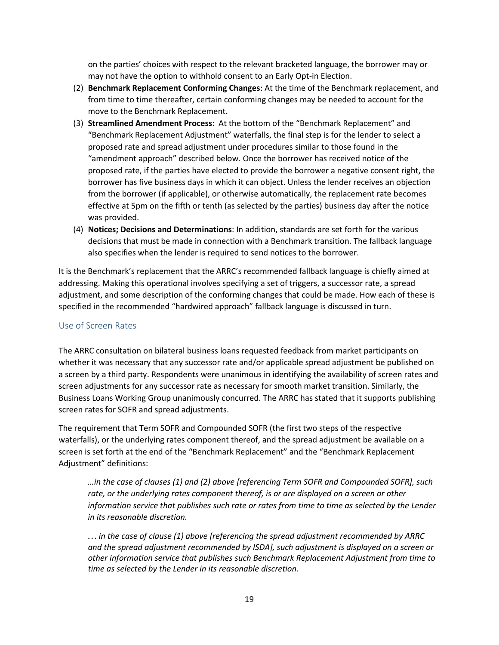on the parties' choices with respect to the relevant bracketed language, the borrower may or may not have the option to withhold consent to an Early Opt-in Election.

- (2) **Benchmark Replacement Conforming Changes**: At the time of the Benchmark replacement, and from time to time thereafter, certain conforming changes may be needed to account for the move to the Benchmark Replacement.
- (3) **Streamlined Amendment Process**: At the bottom of the "Benchmark Replacement" and "Benchmark Replacement Adjustment" waterfalls, the final step is for the lender to select a proposed rate and spread adjustment under procedures similar to those found in the "amendment approach" described below. Once the borrower has received notice of the proposed rate, if the parties have elected to provide the borrower a negative consent right, the borrower has five business days in which it can object. Unless the lender receives an objection from the borrower (if applicable), or otherwise automatically, the replacement rate becomes effective at 5pm on the fifth or tenth (as selected by the parties) business day after the notice was provided.
- (4) **Notices; Decisions and Determinations**: In addition, standards are set forth for the various decisions that must be made in connection with a Benchmark transition. The fallback language also specifies when the lender is required to send notices to the borrower.

It is the Benchmark's replacement that the ARRC's recommended fallback language is chiefly aimed at addressing. Making this operational involves specifying a set of triggers, a successor rate, a spread adjustment, and some description of the conforming changes that could be made. How each of these is specified in the recommended "hardwired approach" fallback language is discussed in turn.

#### <span id="page-18-0"></span>Use of Screen Rates

The ARRC consultation on bilateral business loans requested feedback from market participants on whether it was necessary that any successor rate and/or applicable spread adjustment be published on a screen by a third party. Respondents were unanimous in identifying the availability of screen rates and screen adjustments for any successor rate as necessary for smooth market transition. Similarly, the Business Loans Working Group unanimously concurred. The ARRC has stated that it supports publishing screen rates for SOFR and spread adjustments.

The requirement that Term SOFR and Compounded SOFR (the first two steps of the respective waterfalls), or the underlying rates component thereof, and the spread adjustment be available on a screen is set forth at the end of the "Benchmark Replacement" and the "Benchmark Replacement Adjustment" definitions:

*…in the case of clauses (1) and (2) above [referencing Term SOFR and Compounded SOFR], such rate, or the underlying rates component thereof, is or are displayed on a screen or other information service that publishes such rate or rates from time to time as selected by the Lender in its reasonable discretion.* 

*… in the case of clause (1) above [referencing the spread adjustment recommended by ARRC and the spread adjustment recommended by ISDA], such adjustment is displayed on a screen or other information service that publishes such Benchmark Replacement Adjustment from time to time as selected by the Lender in its reasonable discretion.*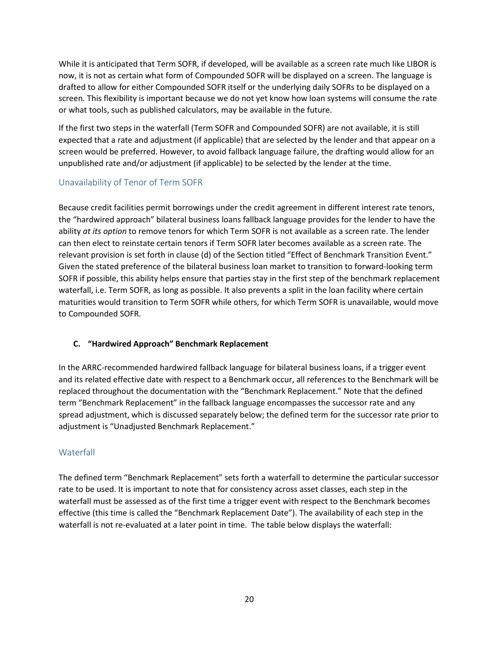While it is anticipated that Term SOFR, if developed, will be available as a screen rate much like LIBOR is now, it is not as certain what form of Compounded SOFR will be displayed on a screen. The language is drafted to allow for either Compounded SOFR itself or the underlying daily SOFRs to be displayed on a screen. This flexibility is important because we do not yet know how loan systems will consume the rate or what tools, such as published calculators, may be available in the future.

If the first two steps in the waterfall (Term SOFR and Compounded SOFR) are not available, it is still expected that a rate and adjustment (if applicable) that are selected by the lender and that appear on a screen would be preferred. However, to avoid fallback language failure, the drafting would allow for an unpublished rate and/or adjustment (if applicable) to be selected by the lender at the time.

# <span id="page-19-0"></span>Unavailability of Tenor of Term SOFR

Because credit facilities permit borrowings under the credit agreement in different interest rate tenors, the "hardwired approach" bilateral business loans fallback language provides for the lender to have the ability *at its option* to remove tenors for which Term SOFR is not available as a screen rate. The lender can then elect to reinstate certain tenors if Term SOFR later becomes available as a screen rate. The relevant provision is set forth in clause (d) of the Section titled "Effect of Benchmark Transition Event." Given the stated preference of the bilateral business loan market to transition to forward-looking term SOFR if possible, this ability helps ensure that parties stay in the first step of the benchmark replacement waterfall, i.e. Term SOFR, as long as possible. It also prevents a split in the loan facility where certain maturities would transition to Term SOFR while others, for which Term SOFR is unavailable, would move to Compounded SOFR.

# <span id="page-19-1"></span>**C. "Hardwired Approach" Benchmark Replacement**

In the ARRC-recommended hardwired fallback language for bilateral business loans, if a trigger event and its related effective date with respect to a Benchmark occur, all references to the Benchmark will be replaced throughout the documentation with the "Benchmark Replacement." Note that the defined term "Benchmark Replacement" in the fallback language encompasses the successor rate and any spread adjustment, which is discussed separately below; the defined term for the successor rate prior to adjustment is "Unadjusted Benchmark Replacement."

# <span id="page-19-2"></span>**Waterfall**

The defined term "Benchmark Replacement" sets forth a waterfall to determine the particular successor rate to be used. It is important to note that for consistency across asset classes, each step in the waterfall must be assessed as of the first time a trigger event with respect to the Benchmark becomes effective (this time is called the "Benchmark Replacement Date"). The availability of each step in the waterfall is not re-evaluated at a later point in time. The table below displays the waterfall: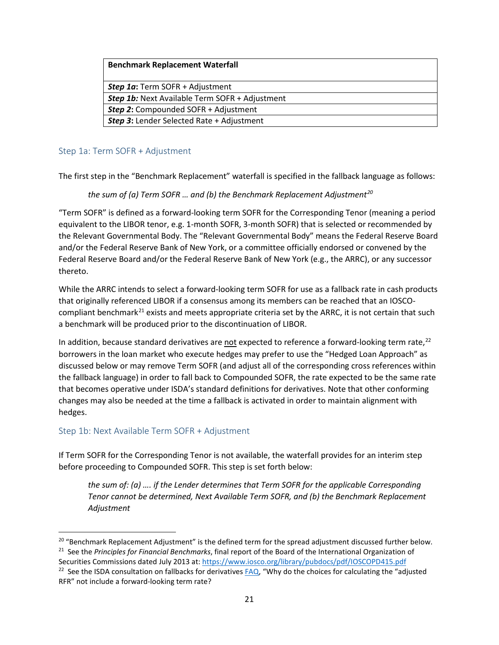#### **Benchmark Replacement Waterfall**

| <b>Step 1a:</b> Term SOFR + Adjustment                |
|-------------------------------------------------------|
| <b>Step 1b:</b> Next Available Term SOFR + Adjustment |
| <b>Step 2:</b> Compounded SOFR + Adjustment           |
| <b>Step 3:</b> Lender Selected Rate + Adjustment      |

### <span id="page-20-0"></span>Step 1a: Term SOFR + Adjustment

The first step in the "Benchmark Replacement" waterfall is specified in the fallback language as follows:

*the sum of (a) Term SOFR … and (b) the Benchmark Replacement Adjustment[20](#page-20-2)*

"Term SOFR" is defined as a forward-looking term SOFR for the Corresponding Tenor (meaning a period equivalent to the LIBOR tenor, e.g. 1-month SOFR, 3-month SOFR) that is selected or recommended by the Relevant Governmental Body. The "Relevant Governmental Body" means the Federal Reserve Board and/or the Federal Reserve Bank of New York, or a committee officially endorsed or convened by the Federal Reserve Board and/or the Federal Reserve Bank of New York (e.g., the ARRC), or any successor thereto.

While the ARRC intends to select a forward-looking term SOFR for use as a fallback rate in cash products that originally referenced LIBOR if a consensus among its members can be reached that an IOSCO-compliant benchmark<sup>[21](#page-20-3)</sup> exists and meets appropriate criteria set by the ARRC, it is not certain that such a benchmark will be produced prior to the discontinuation of LIBOR.

In addition, because standard derivatives are not expected to reference a forward-looking term rate,<sup>[22](#page-20-4)</sup> borrowers in the loan market who execute hedges may prefer to use the "Hedged Loan Approach" as discussed below or may remove Term SOFR (and adjust all of the corresponding cross references within the fallback language) in order to fall back to Compounded SOFR, the rate expected to be the same rate that becomes operative under ISDA's standard definitions for derivatives. Note that other conforming changes may also be needed at the time a fallback is activated in order to maintain alignment with hedges.

# <span id="page-20-1"></span>Step 1b: Next Available Term SOFR + Adjustment

If Term SOFR for the Corresponding Tenor is not available, the waterfall provides for an interim step before proceeding to Compounded SOFR. This step is set forth below:

*the sum of: (a) …. if the Lender determines that Term SOFR for the applicable Corresponding Tenor cannot be determined, Next Available Term SOFR, and (b) the Benchmark Replacement Adjustment*

<span id="page-20-2"></span><sup>&</sup>lt;sup>20</sup> "Benchmark Replacement Adjustment" is the defined term for the spread adjustment discussed further below.

<span id="page-20-3"></span><sup>21</sup> See the *Principles for Financial Benchmarks*, final report of the Board of the International Organization of Securities Commissions dated July 2013 at[: https://www.iosco.org/library/pubdocs/pdf/IOSCOPD415.pdf](https://www.iosco.org/library/pubdocs/pdf/IOSCOPD415.pdf)

<span id="page-20-4"></span><sup>&</sup>lt;sup>22</sup> See the ISDA consultation on fallbacks for derivatives  $FAQ$ , "Why do the choices for calculating the "adjusted" RFR" not include a forward-looking term rate?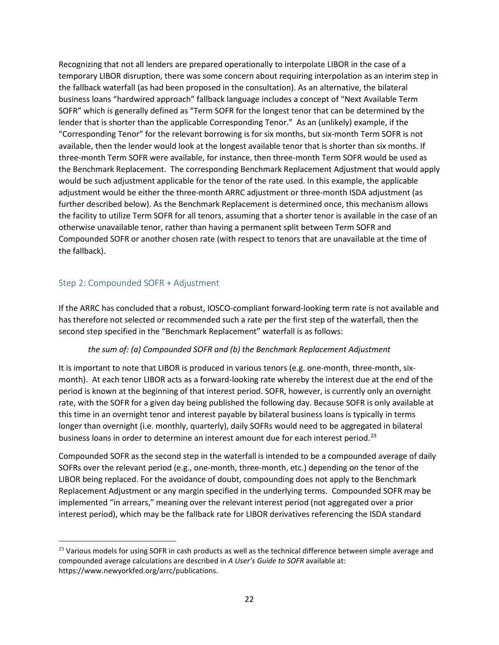Recognizing that not all lenders are prepared operationally to interpolate LIBOR in the case of a temporary LIBOR disruption, there was some concern about requiring interpolation as an interim step in the fallback waterfall (as had been proposed in the consultation). As an alternative, the bilateral business loans "hardwired approach" fallback language includes a concept of "Next Available Term SOFR" which is generally defined as "Term SOFR for the longest tenor that can be determined by the lender that is shorter than the applicable Corresponding Tenor." As an (unlikely) example, if the "Corresponding Tenor" for the relevant borrowing is for six months, but six-month Term SOFR is not available, then the lender would look at the longest available tenor that is shorter than six months. If three-month Term SOFR were available, for instance, then three-month Term SOFR would be used as the Benchmark Replacement. The corresponding Benchmark Replacement Adjustment that would apply would be such adjustment applicable for the tenor of the rate used. In this example, the applicable adjustment would be either the three-month ARRC adjustment or three-month ISDA adjustment (as further described below). As the Benchmark Replacement is determined once, this mechanism allows the facility to utilize Term SOFR for all tenors, assuming that a shorter tenor is available in the case of an otherwise unavailable tenor, rather than having a permanent split between Term SOFR and Compounded SOFR or another chosen rate (with respect to tenors that are unavailable at the time of the fallback).

# <span id="page-21-0"></span>Step 2: Compounded SOFR + Adjustment

l

If the ARRC has concluded that a robust, IOSCO-compliant forward-looking term rate is not available and has therefore not selected or recommended such a rate per the first step of the waterfall, then the second step specified in the "Benchmark Replacement" waterfall is as follows:

#### *the sum of: (a) Compounded SOFR and (b) the Benchmark Replacement Adjustment*

It is important to note that LIBOR is produced in various tenors (e.g. one-month, three-month, sixmonth). At each tenor LIBOR acts as a forward-looking rate whereby the interest due at the end of the period is known at the beginning of that interest period. SOFR, however, is currently only an overnight rate, with the SOFR for a given day being published the following day. Because SOFR is only available at this time in an overnight tenor and interest payable by bilateral business loans is typically in terms longer than overnight (i.e. monthly, quarterly), daily SOFRs would need to be aggregated in bilateral business loans in order to determine an interest amount due for each interest period.<sup>[23](#page-21-1)</sup>

Compounded SOFR as the second step in the waterfall is intended to be a compounded average of daily SOFRs over the relevant period (e.g., one-month, three-month, etc.) depending on the tenor of the LIBOR being replaced. For the avoidance of doubt, compounding does not apply to the Benchmark Replacement Adjustment or any margin specified in the underlying terms. Compounded SOFR may be implemented "in arrears," meaning over the relevant interest period (not aggregated over a prior interest period), which may be the fallback rate for LIBOR derivatives referencing the ISDA standard

<span id="page-21-1"></span><sup>&</sup>lt;sup>23</sup> Various models for using SOFR in cash products as well as the technical difference between simple average and compounded average calculations are described in *A User's Guide to SOFR* available at: https://www.newyorkfed.org/arrc/publications.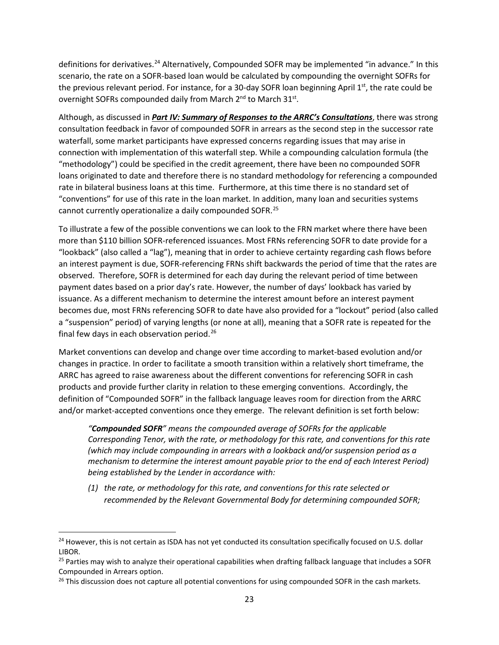definitions for derivatives.<sup>[24](#page-22-0)</sup> Alternatively, Compounded SOFR may be implemented "in advance." In this scenario, the rate on a SOFR-based loan would be calculated by compounding the overnight SOFRs for the previous relevant period. For instance, for a 30-day SOFR loan beginning April  $1<sup>st</sup>$ , the rate could be overnight SOFRs compounded daily from March 2<sup>nd</sup> to March 31<sup>st</sup>.

Although, as discussed in *Part IV: Summary of Responses to the ARRC's Consultations*, there was strong consultation feedback in favor of compounded SOFR in arrears as the second step in the successor rate waterfall, some market participants have expressed concerns regarding issues that may arise in connection with implementation of this waterfall step. While a compounding calculation formula (the "methodology") could be specified in the credit agreement, there have been no compounded SOFR loans originated to date and therefore there is no standard methodology for referencing a compounded rate in bilateral business loans at this time. Furthermore, at this time there is no standard set of "conventions" for use of this rate in the loan market. In addition, many loan and securities systems cannot currently operationalize a daily compounded SOFR.[25](#page-22-1)

To illustrate a few of the possible conventions we can look to the FRN market where there have been more than \$110 billion SOFR-referenced issuances. Most FRNs referencing SOFR to date provide for a "lookback" (also called a "lag"), meaning that in order to achieve certainty regarding cash flows before an interest payment is due, SOFR-referencing FRNs shift backwards the period of time that the rates are observed. Therefore, SOFR is determined for each day during the relevant period of time between payment dates based on a prior day's rate. However, the number of days' lookback has varied by issuance. As a different mechanism to determine the interest amount before an interest payment becomes due, most FRNs referencing SOFR to date have also provided for a "lockout" period (also called a "suspension" period) of varying lengths (or none at all), meaning that a SOFR rate is repeated for the final few days in each observation period. $26$ 

Market conventions can develop and change over time according to market-based evolution and/or changes in practice. In order to facilitate a smooth transition within a relatively short timeframe, the ARRC has agreed to raise awareness about the different conventions for referencing SOFR in cash products and provide further clarity in relation to these emerging conventions. Accordingly, the definition of "Compounded SOFR" in the fallback language leaves room for direction from the ARRC and/or market-accepted conventions once they emerge. The relevant definition is set forth below:

*"Compounded SOFR" means the compounded average of SOFRs for the applicable Corresponding Tenor, with the rate, or methodology for this rate, and conventions for this rate (which may include compounding in arrears with a lookback and/or suspension period as a mechanism to determine the interest amount payable prior to the end of each Interest Period) being established by the Lender in accordance with:*

*(1) the rate, or methodology for this rate, and conventions for this rate selected or recommended by the Relevant Governmental Body for determining compounded SOFR;* 

<span id="page-22-0"></span><sup>&</sup>lt;sup>24</sup> However, this is not certain as ISDA has not yet conducted its consultation specifically focused on U.S. dollar LIBOR.

<span id="page-22-1"></span><sup>&</sup>lt;sup>25</sup> Parties may wish to analyze their operational capabilities when drafting fallback language that includes a SOFR Compounded in Arrears option.

<span id="page-22-2"></span> $26$  This discussion does not capture all potential conventions for using compounded SOFR in the cash markets.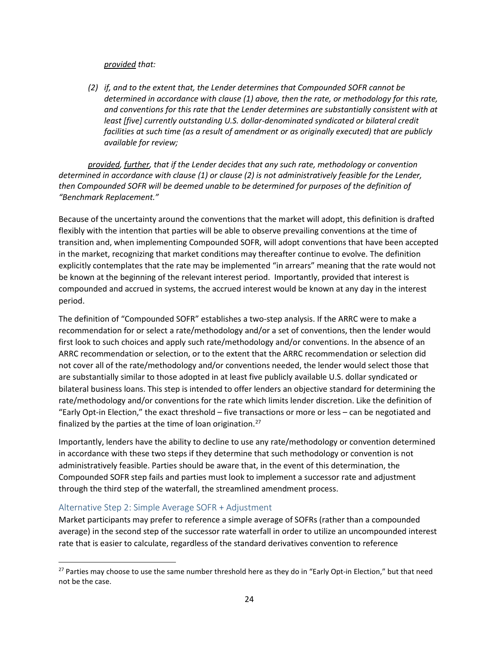#### *provided that:*

*(2) if, and to the extent that, the Lender determines that Compounded SOFR cannot be determined in accordance with clause (1) above, then the rate, or methodology for this rate, and conventions for this rate that the Lender determines are substantially consistent with at least [five] currently outstanding U.S. dollar-denominated syndicated or bilateral credit facilities at such time (as a result of amendment or as originally executed) that are publicly available for review;* 

*provided, further, that if the Lender decides that any such rate, methodology or convention determined in accordance with clause (1) or clause (2) is not administratively feasible for the Lender, then Compounded SOFR will be deemed unable to be determined for purposes of the definition of "Benchmark Replacement."*

Because of the uncertainty around the conventions that the market will adopt, this definition is drafted flexibly with the intention that parties will be able to observe prevailing conventions at the time of transition and, when implementing Compounded SOFR, will adopt conventions that have been accepted in the market, recognizing that market conditions may thereafter continue to evolve. The definition explicitly contemplates that the rate may be implemented "in arrears" meaning that the rate would not be known at the beginning of the relevant interest period. Importantly, provided that interest is compounded and accrued in systems, the accrued interest would be known at any day in the interest period.

The definition of "Compounded SOFR" establishes a two-step analysis. If the ARRC were to make a recommendation for or select a rate/methodology and/or a set of conventions, then the lender would first look to such choices and apply such rate/methodology and/or conventions. In the absence of an ARRC recommendation or selection, or to the extent that the ARRC recommendation or selection did not cover all of the rate/methodology and/or conventions needed, the lender would select those that are substantially similar to those adopted in at least five publicly available U.S. dollar syndicated or bilateral business loans. This step is intended to offer lenders an objective standard for determining the rate/methodology and/or conventions for the rate which limits lender discretion. Like the definition of "Early Opt-in Election," the exact threshold – five transactions or more or less – can be negotiated and finalized by the parties at the time of loan origination[.27](#page-23-0)

Importantly, lenders have the ability to decline to use any rate/methodology or convention determined in accordance with these two steps if they determine that such methodology or convention is not administratively feasible. Parties should be aware that, in the event of this determination, the Compounded SOFR step fails and parties must look to implement a successor rate and adjustment through the third step of the waterfall, the streamlined amendment process.

#### Alternative Step 2: Simple Average SOFR + Adjustment

Market participants may prefer to reference a simple average of SOFRs (rather than a compounded average) in the second step of the successor rate waterfall in order to utilize an uncompounded interest rate that is easier to calculate, regardless of the standard derivatives convention to reference

<span id="page-23-0"></span><sup>&</sup>lt;sup>27</sup> Parties may choose to use the same number threshold here as they do in "Early Opt-in Election," but that need not be the case.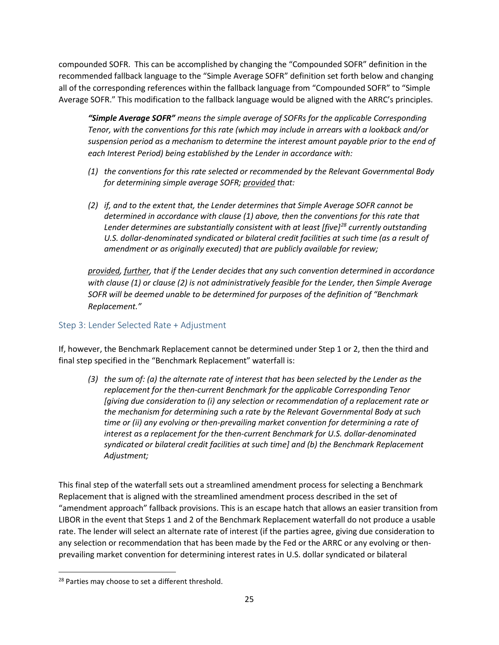compounded SOFR. This can be accomplished by changing the "Compounded SOFR" definition in the recommended fallback language to the "Simple Average SOFR" definition set forth below and changing all of the corresponding references within the fallback language from "Compounded SOFR" to "Simple Average SOFR." This modification to the fallback language would be aligned with the ARRC's principles.

*"Simple Average SOFR" means the simple average of SOFRs for the applicable Corresponding Tenor, with the conventions for this rate (which may include in arrears with a lookback and/or suspension period as a mechanism to determine the interest amount payable prior to the end of each Interest Period) being established by the Lender in accordance with:*

- *(1) the conventions for this rate selected or recommended by the Relevant Governmental Body for determining simple average SOFR; provided that:*
- *(2) if, and to the extent that, the Lender determines that Simple Average SOFR cannot be determined in accordance with clause (1) above, then the conventions for this rate that Lender determines are substantially consistent with at least [five][28](#page-24-1) currently outstanding U.S. dollar-denominated syndicated or bilateral credit facilities at such time (as a result of amendment or as originally executed) that are publicly available for review;*

*provided, further, that if the Lender decides that any such convention determined in accordance with clause (1) or clause (2) is not administratively feasible for the Lender, then Simple Average SOFR will be deemed unable to be determined for purposes of the definition of "Benchmark Replacement."*

# <span id="page-24-0"></span>Step 3: Lender Selected Rate + Adjustment

If, however, the Benchmark Replacement cannot be determined under Step 1 or 2, then the third and final step specified in the "Benchmark Replacement" waterfall is:

*(3) the sum of: (a) the alternate rate of interest that has been selected by the Lender as the replacement for the then-current Benchmark for the applicable Corresponding Tenor [giving due consideration to (i) any selection or recommendation of a replacement rate or the mechanism for determining such a rate by the Relevant Governmental Body at such time or (ii) any evolving or then-prevailing market convention for determining a rate of interest as a replacement for the then-current Benchmark for U.S. dollar-denominated syndicated or bilateral credit facilities at such time] and (b) the Benchmark Replacement Adjustment;*

This final step of the waterfall sets out a streamlined amendment process for selecting a Benchmark Replacement that is aligned with the streamlined amendment process described in the set of "amendment approach" fallback provisions. This is an escape hatch that allows an easier transition from LIBOR in the event that Steps 1 and 2 of the Benchmark Replacement waterfall do not produce a usable rate. The lender will select an alternate rate of interest (if the parties agree, giving due consideration to any selection or recommendation that has been made by the Fed or the ARRC or any evolving or thenprevailing market convention for determining interest rates in U.S. dollar syndicated or bilateral

<span id="page-24-1"></span><sup>&</sup>lt;sup>28</sup> Parties may choose to set a different threshold.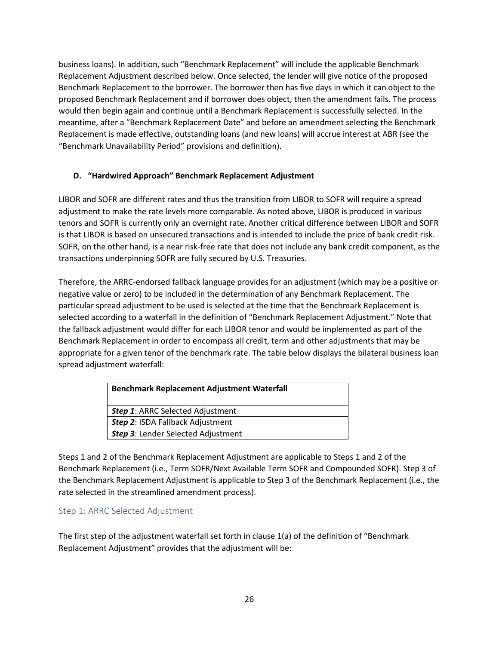business loans). In addition, such "Benchmark Replacement" will include the applicable Benchmark Replacement Adjustment described below. Once selected, the lender will give notice of the proposed Benchmark Replacement to the borrower. The borrower then has five days in which it can object to the proposed Benchmark Replacement and if borrower does object, then the amendment fails. The process would then begin again and continue until a Benchmark Replacement is successfully selected. In the meantime, after a "Benchmark Replacement Date" and before an amendment selecting the Benchmark Replacement is made effective, outstanding loans (and new loans) will accrue interest at ABR (see the "Benchmark Unavailability Period" provisions and definition).

# <span id="page-25-0"></span>**D. "Hardwired Approach" Benchmark Replacement Adjustment**

LIBOR and SOFR are different rates and thus the transition from LIBOR to SOFR will require a spread adjustment to make the rate levels more comparable. As noted above, LIBOR is produced in various tenors and SOFR is currently only an overnight rate. Another critical difference between LIBOR and SOFR is that LIBOR is based on unsecured transactions and is intended to include the price of bank credit risk. SOFR, on the other hand, is a near risk-free rate that does not include any bank credit component, as the transactions underpinning SOFR are fully secured by U.S. Treasuries.

Therefore, the ARRC-endorsed fallback language provides for an adjustment (which may be a positive or negative value or zero) to be included in the determination of any Benchmark Replacement. The particular spread adjustment to be used is selected at the time that the Benchmark Replacement is selected according to a waterfall in the definition of "Benchmark Replacement Adjustment." Note that the fallback adjustment would differ for each LIBOR tenor and would be implemented as part of the Benchmark Replacement in order to encompass all credit, term and other adjustments that may be appropriate for a given tenor of the benchmark rate. The table below displays the bilateral business loan spread adjustment waterfall:

| <b>Benchmark Replacement Adjustment Waterfall</b> |
|---------------------------------------------------|
| <b>Step 1: ARRC Selected Adjustment</b>           |
| <b>Step 2: ISDA Fallback Adjustment</b>           |
| <b>Step 3: Lender Selected Adjustment</b>         |

Steps 1 and 2 of the Benchmark Replacement Adjustment are applicable to Steps 1 and 2 of the Benchmark Replacement (i.e., Term SOFR/Next Available Term SOFR and Compounded SOFR). Step 3 of the Benchmark Replacement Adjustment is applicable to Step 3 of the Benchmark Replacement (i.e., the rate selected in the streamlined amendment process).

# <span id="page-25-1"></span>Step 1: ARRC Selected Adjustment

The first step of the adjustment waterfall set forth in clause 1(a) of the definition of "Benchmark Replacement Adjustment" provides that the adjustment will be: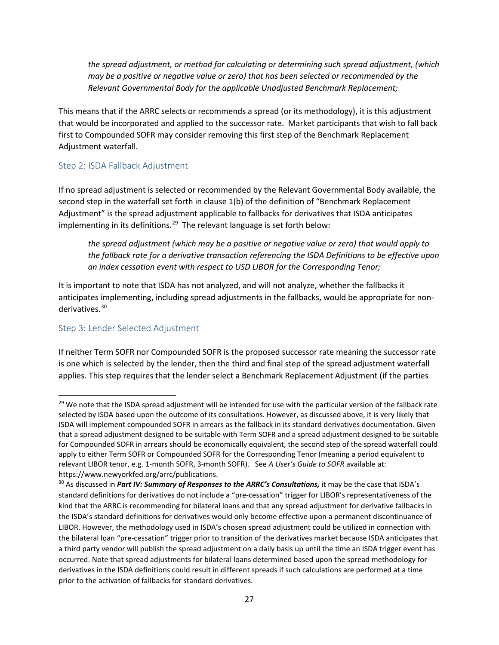*the spread adjustment, or method for calculating or determining such spread adjustment, (which may be a positive or negative value or zero) that has been selected or recommended by the Relevant Governmental Body for the applicable Unadjusted Benchmark Replacement;*

This means that if the ARRC selects or recommends a spread (or its methodology), it is this adjustment that would be incorporated and applied to the successor rate. Market participants that wish to fall back first to Compounded SOFR may consider removing this first step of the Benchmark Replacement Adjustment waterfall.

# <span id="page-26-0"></span>Step 2: ISDA Fallback Adjustment

If no spread adjustment is selected or recommended by the Relevant Governmental Body available, the second step in the waterfall set forth in clause 1(b) of the definition of "Benchmark Replacement Adjustment" is the spread adjustment applicable to fallbacks for derivatives that ISDA anticipates implementing in its definitions.<sup>[29](#page-26-2)</sup> The relevant language is set forth below:

*the spread adjustment (which may be a positive or negative value or zero) that would apply to the fallback rate for a derivative transaction referencing the ISDA Definitions to be effective upon an index cessation event with respect to USD LIBOR for the Corresponding Tenor;*

It is important to note that ISDA has not analyzed, and will not analyze, whether the fallbacks it anticipates implementing, including spread adjustments in the fallbacks, would be appropriate for non-derivatives.<sup>[30](#page-26-3)</sup>

# <span id="page-26-1"></span>Step 3: Lender Selected Adjustment

If neither Term SOFR nor Compounded SOFR is the proposed successor rate meaning the successor rate is one which is selected by the lender, then the third and final step of the spread adjustment waterfall applies. This step requires that the lender select a Benchmark Replacement Adjustment (if the parties

<span id="page-26-2"></span> $29$  We note that the ISDA spread adjustment will be intended for use with the particular version of the fallback rate selected by ISDA based upon the outcome of its consultations. However, as discussed above, it is very likely that ISDA will implement compounded SOFR in arrears as the fallback in its standard derivatives documentation. Given that a spread adjustment designed to be suitable with Term SOFR and a spread adjustment designed to be suitable for Compounded SOFR in arrears should be economically equivalent, the second step of the spread waterfall could apply to either Term SOFR or Compounded SOFR for the Corresponding Tenor (meaning a period equivalent to relevant LIBOR tenor, e.g. 1-month SOFR, 3-month SOFR). See *A User's Guide to SOFR* available at: https://www.newyorkfed.org/arrc/publications.

<span id="page-26-3"></span><sup>&</sup>lt;sup>30</sup> As discussed in *Part IV: Summary of Responses to the ARRC's Consultations,* it may be the case that ISDA's standard definitions for derivatives do not include a "pre-cessation" trigger for LIBOR's representativeness of the kind that the ARRC is recommending for bilateral loans and that any spread adjustment for derivative fallbacks in the ISDA's standard definitions for derivatives would only become effective upon a permanent discontinuance of LIBOR. However, the methodology used in ISDA's chosen spread adjustment could be utilized in connection with the bilateral loan "pre-cessation" trigger prior to transition of the derivatives market because ISDA anticipates that a third party vendor will publish the spread adjustment on a daily basis up until the time an ISDA trigger event has occurred. Note that spread adjustments for bilateral loans determined based upon the spread methodology for derivatives in the ISDA definitions could result in different spreads if such calculations are performed at a time prior to the activation of fallbacks for standard derivatives.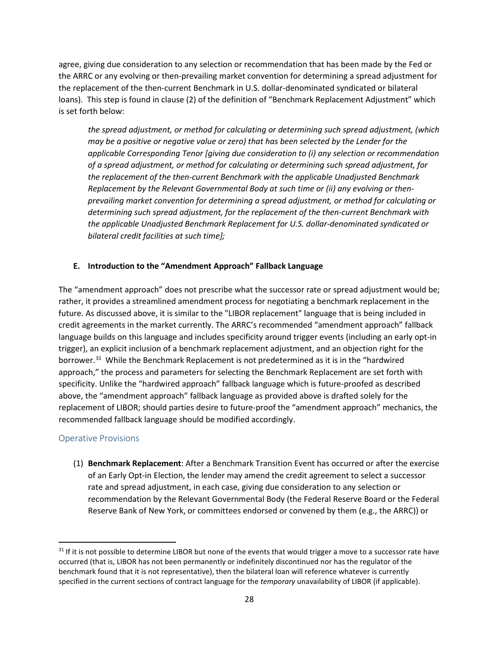agree, giving due consideration to any selection or recommendation that has been made by the Fed or the ARRC or any evolving or then-prevailing market convention for determining a spread adjustment for the replacement of the then-current Benchmark in U.S. dollar-denominated syndicated or bilateral loans). This step is found in clause (2) of the definition of "Benchmark Replacement Adjustment" which is set forth below:

*the spread adjustment, or method for calculating or determining such spread adjustment, (which may be a positive or negative value or zero) that has been selected by the Lender for the applicable Corresponding Tenor [giving due consideration to (i) any selection or recommendation of a spread adjustment, or method for calculating or determining such spread adjustment, for the replacement of the then-current Benchmark with the applicable Unadjusted Benchmark Replacement by the Relevant Governmental Body at such time or (ii) any evolving or thenprevailing market convention for determining a spread adjustment, or method for calculating or determining such spread adjustment, for the replacement of the then-current Benchmark with the applicable Unadjusted Benchmark Replacement for U.S. dollar-denominated syndicated or bilateral credit facilities at such time];*

#### <span id="page-27-0"></span>**E. Introduction to the "Amendment Approach" Fallback Language**

The "amendment approach" does not prescribe what the successor rate or spread adjustment would be; rather, it provides a streamlined amendment process for negotiating a benchmark replacement in the future. As discussed above, it is similar to the "LIBOR replacement" language that is being included in credit agreements in the market currently. The ARRC's recommended "amendment approach" fallback language builds on this language and includes specificity around trigger events (including an early opt-in trigger), an explicit inclusion of a benchmark replacement adjustment, and an objection right for the borrower.<sup>[31](#page-27-2)</sup> While the Benchmark Replacement is not predetermined as it is in the "hardwired approach," the process and parameters for selecting the Benchmark Replacement are set forth with specificity. Unlike the "hardwired approach" fallback language which is future-proofed as described above, the "amendment approach" fallback language as provided above is drafted solely for the replacement of LIBOR; should parties desire to future-proof the "amendment approach" mechanics, the recommended fallback language should be modified accordingly.

# <span id="page-27-1"></span>Operative Provisions

(1) **Benchmark Replacement**: After a Benchmark Transition Event has occurred or after the exercise of an Early Opt-in Election, the lender may amend the credit agreement to select a successor rate and spread adjustment, in each case, giving due consideration to any selection or recommendation by the Relevant Governmental Body (the Federal Reserve Board or the Federal Reserve Bank of New York, or committees endorsed or convened by them (e.g., the ARRC)) or

<span id="page-27-2"></span> $31$  If it is not possible to determine LIBOR but none of the events that would trigger a move to a successor rate have occurred (that is, LIBOR has not been permanently or indefinitely discontinued nor has the regulator of the benchmark found that it is not representative), then the bilateral loan will reference whatever is currently specified in the current sections of contract language for the *temporary* unavailability of LIBOR (if applicable).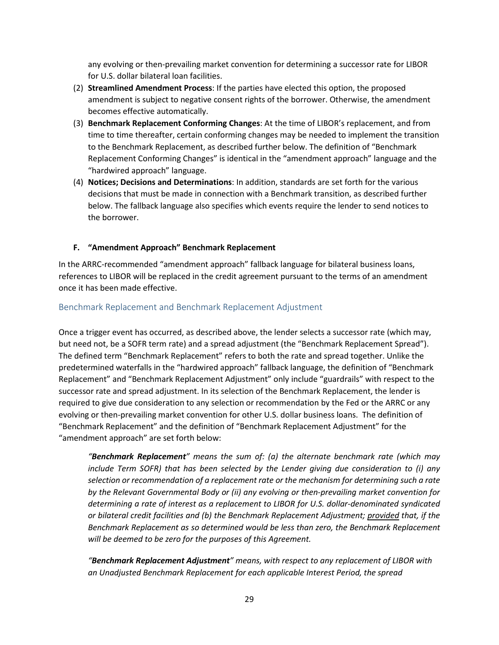any evolving or then-prevailing market convention for determining a successor rate for LIBOR for U.S. dollar bilateral loan facilities.

- (2) **Streamlined Amendment Process**: If the parties have elected this option, the proposed amendment is subject to negative consent rights of the borrower. Otherwise, the amendment becomes effective automatically.
- (3) **Benchmark Replacement Conforming Changes**: At the time of LIBOR's replacement, and from time to time thereafter, certain conforming changes may be needed to implement the transition to the Benchmark Replacement, as described further below. The definition of "Benchmark Replacement Conforming Changes" is identical in the "amendment approach" language and the "hardwired approach" language.
- (4) **Notices; Decisions and Determinations**: In addition, standards are set forth for the various decisions that must be made in connection with a Benchmark transition, as described further below. The fallback language also specifies which events require the lender to send notices to the borrower.

#### <span id="page-28-0"></span>**F. "Amendment Approach" Benchmark Replacement**

In the ARRC-recommended "amendment approach" fallback language for bilateral business loans, references to LIBOR will be replaced in the credit agreement pursuant to the terms of an amendment once it has been made effective.

#### <span id="page-28-1"></span>Benchmark Replacement and Benchmark Replacement Adjustment

Once a trigger event has occurred, as described above, the lender selects a successor rate (which may, but need not, be a SOFR term rate) and a spread adjustment (the "Benchmark Replacement Spread"). The defined term "Benchmark Replacement" refers to both the rate and spread together. Unlike the predetermined waterfalls in the "hardwired approach" fallback language, the definition of "Benchmark Replacement" and "Benchmark Replacement Adjustment" only include "guardrails" with respect to the successor rate and spread adjustment. In its selection of the Benchmark Replacement, the lender is required to give due consideration to any selection or recommendation by the Fed or the ARRC or any evolving or then-prevailing market convention for other U.S. dollar business loans. The definition of "Benchmark Replacement" and the definition of "Benchmark Replacement Adjustment" for the "amendment approach" are set forth below:

*"Benchmark Replacement" means the sum of: (a) the alternate benchmark rate (which may include Term SOFR) that has been selected by the Lender giving due consideration to (i) any selection or recommendation of a replacement rate or the mechanism for determining such a rate by the Relevant Governmental Body or (ii) any evolving or then-prevailing market convention for determining a rate of interest as a replacement to LIBOR for U.S. dollar-denominated syndicated or bilateral credit facilities and (b) the Benchmark Replacement Adjustment; provided that, if the Benchmark Replacement as so determined would be less than zero, the Benchmark Replacement will be deemed to be zero for the purposes of this Agreement.*

*"Benchmark Replacement Adjustment" means, with respect to any replacement of LIBOR with an Unadjusted Benchmark Replacement for each applicable Interest Period, the spread*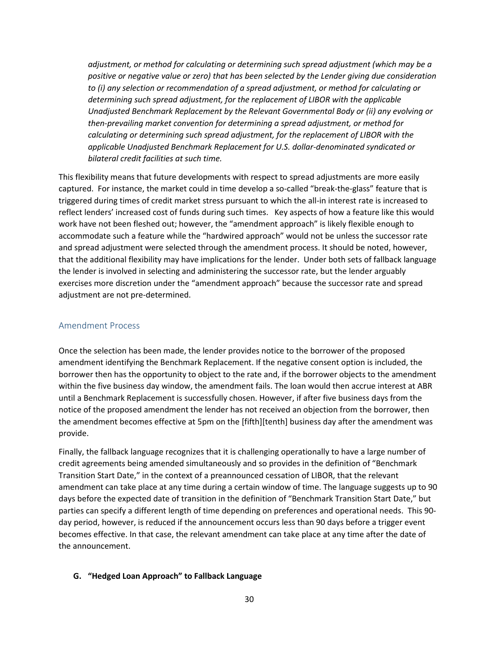*adjustment, or method for calculating or determining such spread adjustment (which may be a positive or negative value or zero) that has been selected by the Lender giving due consideration to (i) any selection or recommendation of a spread adjustment, or method for calculating or determining such spread adjustment, for the replacement of LIBOR with the applicable Unadjusted Benchmark Replacement by the Relevant Governmental Body or (ii) any evolving or then-prevailing market convention for determining a spread adjustment, or method for calculating or determining such spread adjustment, for the replacement of LIBOR with the applicable Unadjusted Benchmark Replacement for U.S. dollar-denominated syndicated or bilateral credit facilities at such time.*

This flexibility means that future developments with respect to spread adjustments are more easily captured. For instance, the market could in time develop a so-called "break-the-glass" feature that is triggered during times of credit market stress pursuant to which the all-in interest rate is increased to reflect lenders' increased cost of funds during such times. Key aspects of how a feature like this would work have not been fleshed out; however, the "amendment approach" is likely flexible enough to accommodate such a feature while the "hardwired approach" would not be unless the successor rate and spread adjustment were selected through the amendment process. It should be noted, however, that the additional flexibility may have implications for the lender. Under both sets of fallback language the lender is involved in selecting and administering the successor rate, but the lender arguably exercises more discretion under the "amendment approach" because the successor rate and spread adjustment are not pre-determined.

#### <span id="page-29-0"></span>Amendment Process

Once the selection has been made, the lender provides notice to the borrower of the proposed amendment identifying the Benchmark Replacement. If the negative consent option is included, the borrower then has the opportunity to object to the rate and, if the borrower objects to the amendment within the five business day window, the amendment fails. The loan would then accrue interest at ABR until a Benchmark Replacement is successfully chosen. However, if after five business days from the notice of the proposed amendment the lender has not received an objection from the borrower, then the amendment becomes effective at 5pm on the [fifth][tenth] business day after the amendment was provide.

Finally, the fallback language recognizes that it is challenging operationally to have a large number of credit agreements being amended simultaneously and so provides in the definition of "Benchmark Transition Start Date," in the context of a preannounced cessation of LIBOR, that the relevant amendment can take place at any time during a certain window of time. The language suggests up to 90 days before the expected date of transition in the definition of "Benchmark Transition Start Date," but parties can specify a different length of time depending on preferences and operational needs. This 90 day period, however, is reduced if the announcement occurs less than 90 days before a trigger event becomes effective. In that case, the relevant amendment can take place at any time after the date of the announcement.

#### <span id="page-29-1"></span>**G. "Hedged Loan Approach" to Fallback Language**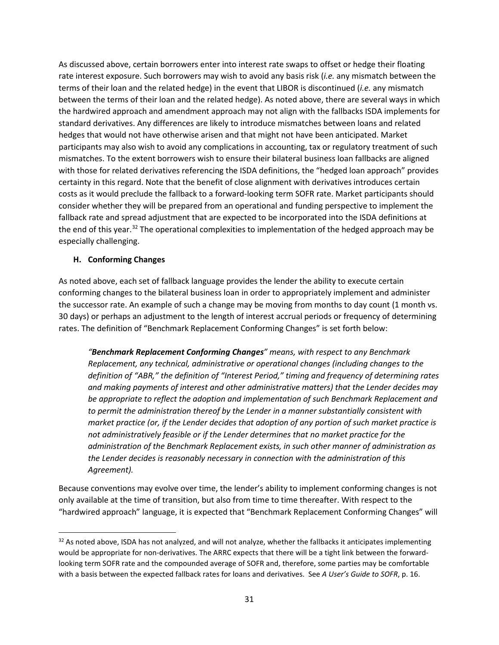As discussed above, certain borrowers enter into interest rate swaps to offset or hedge their floating rate interest exposure. Such borrowers may wish to avoid any basis risk (*i.e.* any mismatch between the terms of their loan and the related hedge) in the event that LIBOR is discontinued (*i.e.* any mismatch between the terms of their loan and the related hedge). As noted above, there are several ways in which the hardwired approach and amendment approach may not align with the fallbacks ISDA implements for standard derivatives. Any differences are likely to introduce mismatches between loans and related hedges that would not have otherwise arisen and that might not have been anticipated. Market participants may also wish to avoid any complications in accounting, tax or regulatory treatment of such mismatches. To the extent borrowers wish to ensure their bilateral business loan fallbacks are aligned with those for related derivatives referencing the ISDA definitions, the "hedged loan approach" provides certainty in this regard. Note that the benefit of close alignment with derivatives introduces certain costs as it would preclude the fallback to a forward-looking term SOFR rate. Market participants should consider whether they will be prepared from an operational and funding perspective to implement the fallback rate and spread adjustment that are expected to be incorporated into the ISDA definitions at the end of this year.<sup>[32](#page-30-1)</sup> The operational complexities to implementation of the hedged approach may be especially challenging.

### <span id="page-30-0"></span>**H. Conforming Changes**

As noted above, each set of fallback language provides the lender the ability to execute certain conforming changes to the bilateral business loan in order to appropriately implement and administer the successor rate. An example of such a change may be moving from months to day count (1 month vs. 30 days) or perhaps an adjustment to the length of interest accrual periods or frequency of determining rates. The definition of "Benchmark Replacement Conforming Changes" is set forth below:

*"Benchmark Replacement Conforming Changes" means, with respect to any Benchmark Replacement, any technical, administrative or operational changes (including changes to the definition of "ABR," the definition of "Interest Period," timing and frequency of determining rates and making payments of interest and other administrative matters) that the Lender decides may be appropriate to reflect the adoption and implementation of such Benchmark Replacement and to permit the administration thereof by the Lender in a manner substantially consistent with market practice (or, if the Lender decides that adoption of any portion of such market practice is not administratively feasible or if the Lender determines that no market practice for the administration of the Benchmark Replacement exists, in such other manner of administration as the Lender decides is reasonably necessary in connection with the administration of this Agreement).*

Because conventions may evolve over time, the lender's ability to implement conforming changes is not only available at the time of transition, but also from time to time thereafter. With respect to the "hardwired approach" language, it is expected that "Benchmark Replacement Conforming Changes" will

<span id="page-30-1"></span><sup>32</sup> As noted above, ISDA has not analyzed, and will not analyze, whether the fallbacks it anticipates implementing would be appropriate for non-derivatives. The ARRC expects that there will be a tight link between the forwardlooking term SOFR rate and the compounded average of SOFR and, therefore, some parties may be comfortable with a basis between the expected fallback rates for loans and derivatives. See *A User's Guide to SOFR*, p. 16.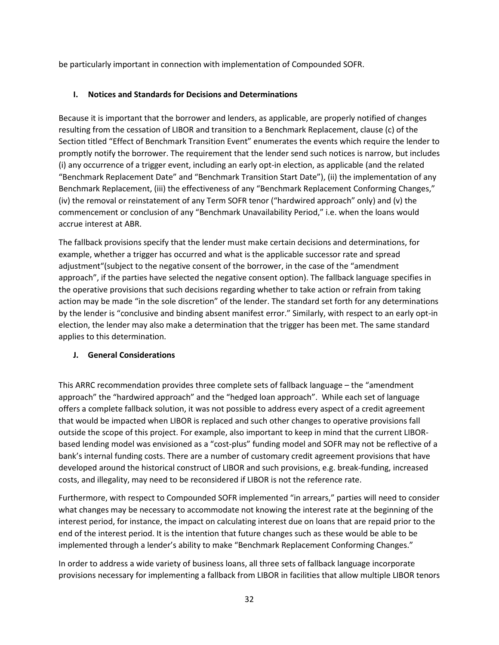be particularly important in connection with implementation of Compounded SOFR.

# <span id="page-31-0"></span>**I. Notices and Standards for Decisions and Determinations**

Because it is important that the borrower and lenders, as applicable, are properly notified of changes resulting from the cessation of LIBOR and transition to a Benchmark Replacement, clause (c) of the Section titled "Effect of Benchmark Transition Event" enumerates the events which require the lender to promptly notify the borrower. The requirement that the lender send such notices is narrow, but includes (i) any occurrence of a trigger event, including an early opt-in election, as applicable (and the related "Benchmark Replacement Date" and "Benchmark Transition Start Date"), (ii) the implementation of any Benchmark Replacement, (iii) the effectiveness of any "Benchmark Replacement Conforming Changes," (iv) the removal or reinstatement of any Term SOFR tenor ("hardwired approach" only) and (v) the commencement or conclusion of any "Benchmark Unavailability Period," i.e. when the loans would accrue interest at ABR.

The fallback provisions specify that the lender must make certain decisions and determinations, for example, whether a trigger has occurred and what is the applicable successor rate and spread adjustment"(subject to the negative consent of the borrower, in the case of the "amendment approach", if the parties have selected the negative consent option). The fallback language specifies in the operative provisions that such decisions regarding whether to take action or refrain from taking action may be made "in the sole discretion" of the lender. The standard set forth for any determinations by the lender is "conclusive and binding absent manifest error." Similarly, with respect to an early opt-in election, the lender may also make a determination that the trigger has been met. The same standard applies to this determination.

# <span id="page-31-1"></span>**J. General Considerations**

This ARRC recommendation provides three complete sets of fallback language – the "amendment approach" the "hardwired approach" and the "hedged loan approach". While each set of language offers a complete fallback solution, it was not possible to address every aspect of a credit agreement that would be impacted when LIBOR is replaced and such other changes to operative provisions fall outside the scope of this project. For example, also important to keep in mind that the current LIBORbased lending model was envisioned as a "cost-plus" funding model and SOFR may not be reflective of a bank's internal funding costs. There are a number of customary credit agreement provisions that have developed around the historical construct of LIBOR and such provisions, e.g. break-funding, increased costs, and illegality, may need to be reconsidered if LIBOR is not the reference rate.

Furthermore, with respect to Compounded SOFR implemented "in arrears," parties will need to consider what changes may be necessary to accommodate not knowing the interest rate at the beginning of the interest period, for instance, the impact on calculating interest due on loans that are repaid prior to the end of the interest period. It is the intention that future changes such as these would be able to be implemented through a lender's ability to make "Benchmark Replacement Conforming Changes."

In order to address a wide variety of business loans, all three sets of fallback language incorporate provisions necessary for implementing a fallback from LIBOR in facilities that allow multiple LIBOR tenors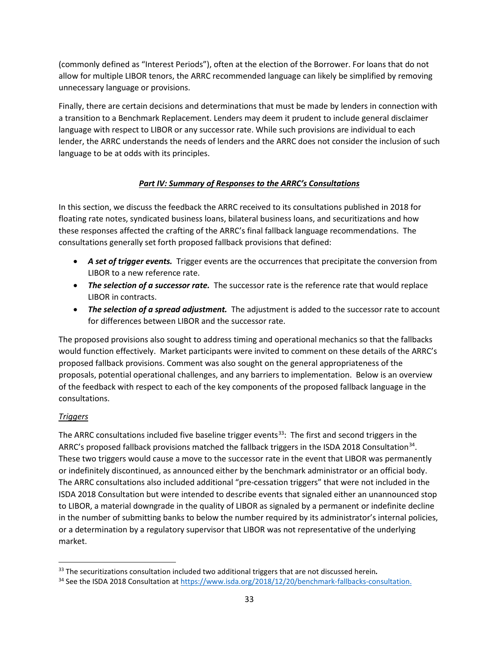(commonly defined as "Interest Periods"), often at the election of the Borrower. For loans that do not allow for multiple LIBOR tenors, the ARRC recommended language can likely be simplified by removing unnecessary language or provisions.

Finally, there are certain decisions and determinations that must be made by lenders in connection with a transition to a Benchmark Replacement. Lenders may deem it prudent to include general disclaimer language with respect to LIBOR or any successor rate. While such provisions are individual to each lender, the ARRC understands the needs of lenders and the ARRC does not consider the inclusion of such language to be at odds with its principles.

# *Part IV: Summary of Responses to the ARRC's Consultations*

<span id="page-32-0"></span>In this section, we discuss the feedback the ARRC received to its consultations published in 2018 for floating rate notes, syndicated business loans, bilateral business loans, and securitizations and how these responses affected the crafting of the ARRC's final fallback language recommendations. The consultations generally set forth proposed fallback provisions that defined:

- *A set of trigger events.* Trigger events are the occurrences that precipitate the conversion from LIBOR to a new reference rate.
- *The selection of a successor rate.* The successor rate is the reference rate that would replace LIBOR in contracts.
- *The selection of a spread adjustment.* The adjustment is added to the successor rate to account for differences between LIBOR and the successor rate.

The proposed provisions also sought to address timing and operational mechanics so that the fallbacks would function effectively. Market participants were invited to comment on these details of the ARRC's proposed fallback provisions. Comment was also sought on the general appropriateness of the proposals, potential operational challenges, and any barriers to implementation. Below is an overview of the feedback with respect to each of the key components of the proposed fallback language in the consultations.

# *Triggers*

The ARRC consultations included five baseline trigger events<sup>33</sup>: The first and second triggers in the ARRC's proposed fallback provisions matched the fallback triggers in the ISDA 2018 Consultation<sup>[34](#page-32-2)</sup>. These two triggers would cause a move to the successor rate in the event that LIBOR was permanently or indefinitely discontinued, as announced either by the benchmark administrator or an official body. The ARRC consultations also included additional "pre-cessation triggers" that were not included in the ISDA 2018 Consultation but were intended to describe events that signaled either an unannounced stop to LIBOR, a material downgrade in the quality of LIBOR as signaled by a permanent or indefinite decline in the number of submitting banks to below the number required by its administrator's internal policies, or a determination by a regulatory supervisor that LIBOR was not representative of the underlying market.

<span id="page-32-1"></span> <sup>33</sup> The securitizations consultation included two additional triggers that are not discussed herein*.*

<span id="page-32-2"></span><sup>34</sup> See the ISDA 2018 Consultation a[t https://www.isda.org/2018/12/20/benchmark-fallbacks-consultation.](https://www.isda.org/2018/12/20/benchmark-fallbacks-consultation/)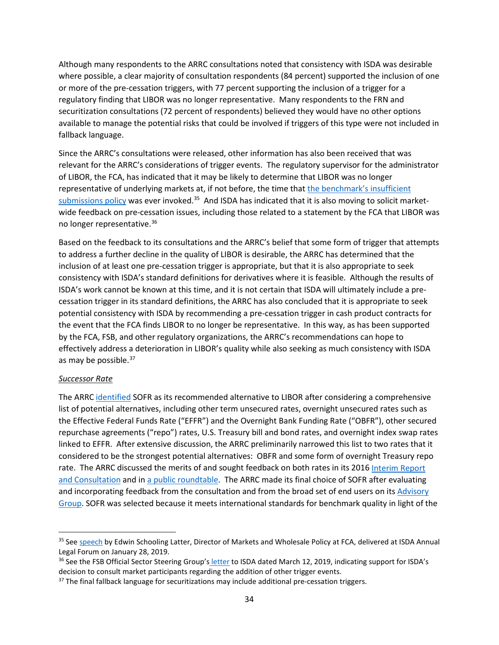Although many respondents to the ARRC consultations noted that consistency with ISDA was desirable where possible, a clear majority of consultation respondents (84 percent) supported the inclusion of one or more of the pre-cessation triggers, with 77 percent supporting the inclusion of a trigger for a regulatory finding that LIBOR was no longer representative. Many respondents to the FRN and securitization consultations (72 percent of respondents) believed they would have no other options available to manage the potential risks that could be involved if triggers of this type were not included in fallback language.

Since the ARRC's consultations were released, other information has also been received that was relevant for the ARRC's considerations of trigger events. The regulatory supervisor for the administrator of LIBOR, the FCA, has indicated that it may be likely to determine that LIBOR was no longer representative of underlying markets at, if not before, the time that the [benchmark's insufficient](https://www.theice.com/publicdocs/ICE_LIBOR_Reduced_Submissions_Policy.pdf) [submissions policy](https://www.theice.com/publicdocs/ICE_LIBOR_Reduced_Submissions_Policy.pdf) was ever invoked.<sup>[35](#page-33-0)</sup> And ISDA has indicated that it is also moving to solicit marketwide feedback on pre-cessation issues, including those related to a statement by the FCA that LIBOR was no longer representative.[36](#page-33-1)

Based on the feedback to its consultations and the ARRC's belief that some form of trigger that attempts to address a further decline in the quality of LIBOR is desirable, the ARRC has determined that the inclusion of at least one pre-cessation trigger is appropriate, but that it is also appropriate to seek consistency with ISDA's standard definitions for derivatives where it is feasible. Although the results of ISDA's work cannot be known at this time, and it is not certain that ISDA will ultimately include a precessation trigger in its standard definitions, the ARRC has also concluded that it is appropriate to seek potential consistency with ISDA by recommending a pre-cessation trigger in cash product contracts for the event that the FCA finds LIBOR to no longer be representative. In this way, as has been supported by the FCA, FSB, and other regulatory organizations, the ARRC's recommendations can hope to effectively address a deterioration in LIBOR's quality while also seeking as much consistency with ISDA as may be possible.<sup>[37](#page-33-2)</sup>

#### *Successor Rate*

The ARRC [identified](https://www.newyorkfed.org/medialibrary/microsites/arrc/files/2017/ARRC-press-release-Jun-22-2017.pdf) SOFR as its recommended alternative to LIBOR after considering a comprehensive list of potential alternatives, including other term unsecured rates, overnight unsecured rates such as the Effective Federal Funds Rate ("EFFR") and the Overnight Bank Funding Rate ("OBFR"), other secured repurchase agreements ("repo") rates, U.S. Treasury bill and bond rates, and overnight index swap rates linked to EFFR. After extensive discussion, the ARRC preliminarily narrowed this list to two rates that it considered to be the strongest potential alternatives: OBFR and some form of overnight Treasury repo rate. The ARRC discussed the merits of and sought feedback on both rates in its 2016 Interim Report [and Consultation](https://www.newyorkfed.org/medialibrary/microsites/arrc/files/2016/arrc-interim-report-and-consultation.pdf?la=en) and i[n a public roundtable.](https://www.newyorkfed.org/arrc/meetings.html#anchor) The ARRC made its final choice of SOFR after evaluating and incorporating feedback from the consultation and from the broad set of end users on its [Advisory](https://www.newyorkfed.org/medialibrary/microsites/arrc/files/2016/Advisory-Group-Membership.pdf)  [Group.](https://www.newyorkfed.org/medialibrary/microsites/arrc/files/2016/Advisory-Group-Membership.pdf) SOFR was selected because it meets international standards for benchmark quality in light of the

<span id="page-33-0"></span><sup>&</sup>lt;sup>35</sup> Se[e speech](https://www.fca.org.uk/news/speeches/libor-transition-and-contractual-fallbacks) by Edwin Schooling Latter, Director of Markets and Wholesale Policy at FCA, delivered at ISDA Annual Legal Forum on January 28, 2019.

<span id="page-33-1"></span><sup>&</sup>lt;sup>36</sup> See the FSB [Official Sector Steering Group's](http://www.fsb.org/wp-content/uploads/P150319.pdf) letter to ISDA dated March 12, 2019, indicating support for ISDA's decision to consult market participants regarding the addition of other trigger events.

<span id="page-33-2"></span><sup>&</sup>lt;sup>37</sup> The final fallback language for securitizations may include additional pre-cessation triggers.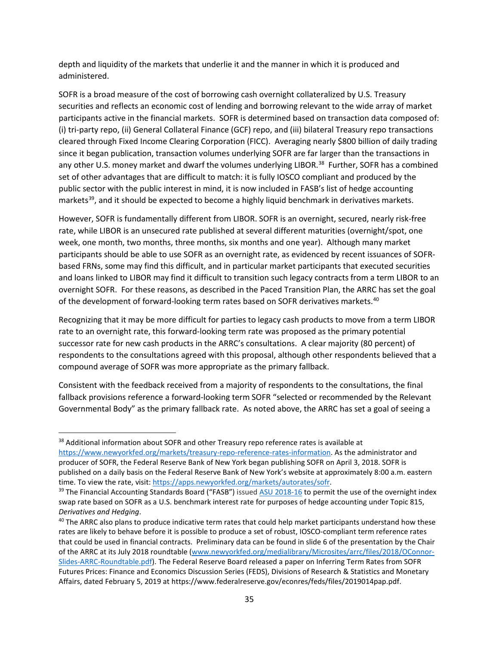depth and liquidity of the markets that underlie it and the manner in which it is produced and administered.

SOFR is a broad measure of the cost of borrowing cash overnight collateralized by U.S. Treasury securities and reflects an economic cost of lending and borrowing relevant to the wide array of market participants active in the financial markets. SOFR is determined based on transaction data composed of: (i) tri-party repo, (ii) General Collateral Finance (GCF) repo, and (iii) bilateral Treasury repo transactions cleared through Fixed Income Clearing Corporation (FICC). Averaging nearly \$800 billion of daily trading since it began publication, transaction volumes underlying SOFR are far larger than the transactions in any other U.S. money market and dwarf the volumes underlying LIBOR.<sup>[38](#page-34-0)</sup> Further, SOFR has a combined set of other advantages that are difficult to match: it is fully IOSCO compliant and produced by the public sector with the public interest in mind, it is now included in FASB's list of hedge accounting markets<sup>39</sup>, and it should be expected to become a highly liquid benchmark in derivatives markets.

However, SOFR is fundamentally different from LIBOR. SOFR is an overnight, secured, nearly risk-free rate, while LIBOR is an unsecured rate published at several different maturities (overnight/spot, one week, one month, two months, three months, six months and one year). Although many market participants should be able to use SOFR as an overnight rate, as evidenced by recent issuances of SOFRbased FRNs, some may find this difficult, and in particular market participants that executed securities and loans linked to LIBOR may find it difficult to transition such legacy contracts from a term LIBOR to an overnight SOFR. For these reasons, as described in the Paced Transition Plan, the ARRC has set the goal of the development of forward-looking term rates based on SOFR derivatives markets. [40](#page-34-2)

Recognizing that it may be more difficult for parties to legacy cash products to move from a term LIBOR rate to an overnight rate, this forward-looking term rate was proposed as the primary potential successor rate for new cash products in the ARRC's consultations. A clear majority (80 percent) of respondents to the consultations agreed with this proposal, although other respondents believed that a compound average of SOFR was more appropriate as the primary fallback.

Consistent with the feedback received from a majority of respondents to the consultations, the final fallback provisions reference a forward-looking term SOFR "selected or recommended by the Relevant Governmental Body" as the primary fallback rate. As noted above, the ARRC has set a goal of seeing a

<span id="page-34-0"></span><sup>&</sup>lt;sup>38</sup> Additional information about SOFR and other Treasury repo reference rates is available at [https://www.newyorkfed.org/markets/treasury-repo-reference-rates-information.](https://www.newyorkfed.org/markets/treasury-repo-reference-rates-information) As the administrator and producer of SOFR, the Federal Reserve Bank of New York began publishing SOFR on April 3, 2018. SOFR is published on a daily basis on the Federal Reserve Bank of New York's website at approximately 8:00 a.m. eastern time. To view the rate, visit[: https://apps.newyorkfed.org/markets/autorates/sofr.](https://apps.newyorkfed.org/markets/autorates/sofr)

<span id="page-34-1"></span><sup>&</sup>lt;sup>39</sup> The Financial Accounting Standards Board ("FASB") issue[d ASU 2018-16](https://fasb.org/jsp/FASB/Document_C/DocumentPage?cid=1176171492980&acceptedDisclaimer=true) to permit the use of the overnight index swap rate based on SOFR as a U.S. benchmark interest rate for purposes of hedge accounting under Topic 815, *Derivatives and Hedging*.<br><sup>40</sup> The ARRC also plans to produce indicative term rates that could help market participants understand how these

<span id="page-34-2"></span>rates are likely to behave before it is possible to produce a set of robust, IOSCO-compliant term reference rates that could be used in financial contracts. Preliminary data can be found in slide 6 of the presentation by the Chair of the ARRC at its July 2018 roundtable [\(www.newyorkfed.org/medialibrary/Microsites/arrc/files/2018/OConnor-](https://www.newyorkfed.org/medialibrary/Microsites/arrc/files/2018/OConnor-Slides-ARRC-Roundtable.pdf)[Slides-ARRC-Roundtable.pdf\)](https://www.newyorkfed.org/medialibrary/Microsites/arrc/files/2018/OConnor-Slides-ARRC-Roundtable.pdf). The Federal Reserve Board released [a paper](https://www.federalreserve.gov/econres/feds/files/2019014pap.pdf) on Inferring Term Rates from SOFR Futures Prices: Finance and Economics Discussion Series (FEDS), Divisions of Research & Statistics and Monetary Affairs, dated February 5, 2019 at https://www.federalreserve.gov/econres/feds/files/2019014pap.pdf.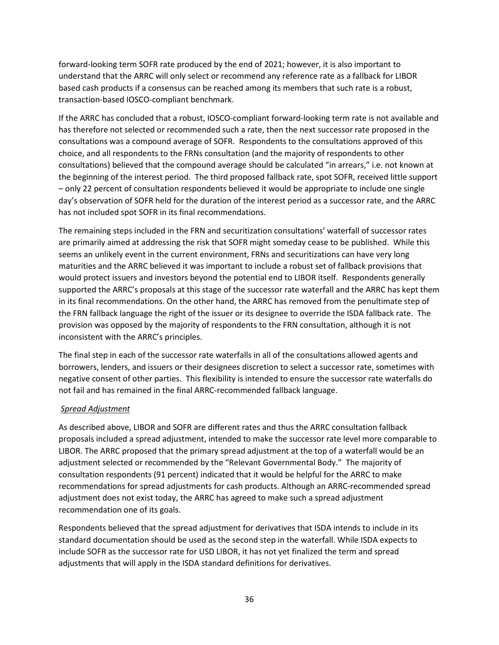forward-looking term SOFR rate produced by the end of 2021; however, it is also important to understand that the ARRC will only select or recommend any reference rate as a fallback for LIBOR based cash products if a consensus can be reached among its members that such rate is a robust, transaction-based IOSCO-compliant benchmark.

If the ARRC has concluded that a robust, IOSCO-compliant forward-looking term rate is not available and has therefore not selected or recommended such a rate, then the next successor rate proposed in the consultations was a compound average of SOFR. Respondents to the consultations approved of this choice, and all respondents to the FRNs consultation (and the majority of respondents to other consultations) believed that the compound average should be calculated "in arrears," i.e. not known at the beginning of the interest period. The third proposed fallback rate, spot SOFR, received little support – only 22 percent of consultation respondents believed it would be appropriate to include one single day's observation of SOFR held for the duration of the interest period as a successor rate, and the ARRC has not included spot SOFR in its final recommendations.

The remaining steps included in the FRN and securitization consultations' waterfall of successor rates are primarily aimed at addressing the risk that SOFR might someday cease to be published. While this seems an unlikely event in the current environment, FRNs and securitizations can have very long maturities and the ARRC believed it was important to include a robust set of fallback provisions that would protect issuers and investors beyond the potential end to LIBOR itself. Respondents generally supported the ARRC's proposals at this stage of the successor rate waterfall and the ARRC has kept them in its final recommendations. On the other hand, the ARRC has removed from the penultimate step of the FRN fallback language the right of the issuer or its designee to override the ISDA fallback rate. The provision was opposed by the majority of respondents to the FRN consultation, although it is not inconsistent with the ARRC's principles.

The final step in each of the successor rate waterfalls in all of the consultations allowed agents and borrowers, lenders, and issuers or their designees discretion to select a successor rate, sometimes with negative consent of other parties. This flexibility is intended to ensure the successor rate waterfalls do not fail and has remained in the final ARRC-recommended fallback language.

#### *Spread Adjustment*

As described above, LIBOR and SOFR are different rates and thus the ARRC consultation fallback proposals included a spread adjustment, intended to make the successor rate level more comparable to LIBOR. The ARRC proposed that the primary spread adjustment at the top of a waterfall would be an adjustment selected or recommended by the "Relevant Governmental Body." The majority of consultation respondents (91 percent) indicated that it would be helpful for the ARRC to make recommendations for spread adjustments for cash products. Although an ARRC-recommended spread adjustment does not exist today, the ARRC has agreed to make such a spread adjustment recommendation one of its goals.

Respondents believed that the spread adjustment for derivatives that ISDA intends to include in its standard documentation should be used as the second step in the waterfall. While ISDA expects to include SOFR as the successor rate for USD LIBOR, it has not yet finalized the term and spread adjustments that will apply in the ISDA standard definitions for derivatives.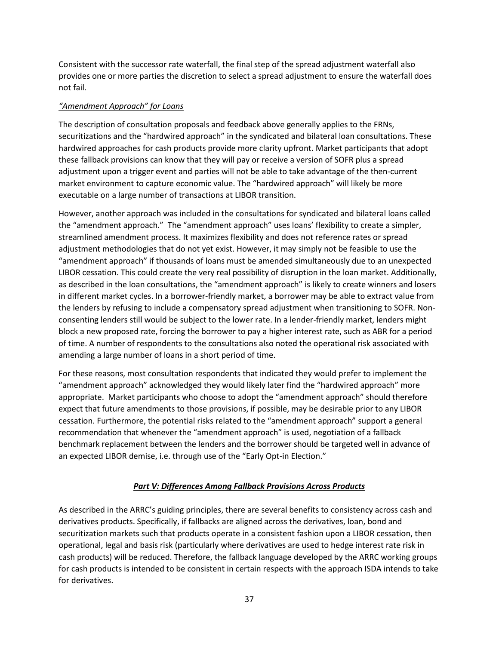Consistent with the successor rate waterfall, the final step of the spread adjustment waterfall also provides one or more parties the discretion to select a spread adjustment to ensure the waterfall does not fail.

### *"Amendment Approach" for Loans*

The description of consultation proposals and feedback above generally applies to the FRNs, securitizations and the "hardwired approach" in the syndicated and bilateral loan consultations. These hardwired approaches for cash products provide more clarity upfront. Market participants that adopt these fallback provisions can know that they will pay or receive a version of SOFR plus a spread adjustment upon a trigger event and parties will not be able to take advantage of the then-current market environment to capture economic value. The "hardwired approach" will likely be more executable on a large number of transactions at LIBOR transition.

However, another approach was included in the consultations for syndicated and bilateral loans called the "amendment approach." The "amendment approach" uses loans' flexibility to create a simpler, streamlined amendment process. It maximizes flexibility and does not reference rates or spread adjustment methodologies that do not yet exist. However, it may simply not be feasible to use the "amendment approach" if thousands of loans must be amended simultaneously due to an unexpected LIBOR cessation. This could create the very real possibility of disruption in the loan market. Additionally, as described in the loan consultations, the "amendment approach" is likely to create winners and losers in different market cycles. In a borrower-friendly market, a borrower may be able to extract value from the lenders by refusing to include a compensatory spread adjustment when transitioning to SOFR. Nonconsenting lenders still would be subject to the lower rate. In a lender-friendly market, lenders might block a new proposed rate, forcing the borrower to pay a higher interest rate, such as ABR for a period of time. A number of respondents to the consultations also noted the operational risk associated with amending a large number of loans in a short period of time.

For these reasons, most consultation respondents that indicated they would prefer to implement the "amendment approach" acknowledged they would likely later find the "hardwired approach" more appropriate. Market participants who choose to adopt the "amendment approach" should therefore expect that future amendments to those provisions, if possible, may be desirable prior to any LIBOR cessation. Furthermore, the potential risks related to the "amendment approach" support a general recommendation that whenever the "amendment approach" is used, negotiation of a fallback benchmark replacement between the lenders and the borrower should be targeted well in advance of an expected LIBOR demise, i.e. through use of the "Early Opt-in Election."

# *Part V: Differences Among Fallback Provisions Across Products*

<span id="page-36-0"></span>As described in the ARRC's guiding principles, there are several benefits to consistency across cash and derivatives products. Specifically, if fallbacks are aligned across the derivatives, loan, bond and securitization markets such that products operate in a consistent fashion upon a LIBOR cessation, then operational, legal and basis risk (particularly where derivatives are used to hedge interest rate risk in cash products) will be reduced. Therefore, the fallback language developed by the ARRC working groups for cash products is intended to be consistent in certain respects with the approach ISDA intends to take for derivatives.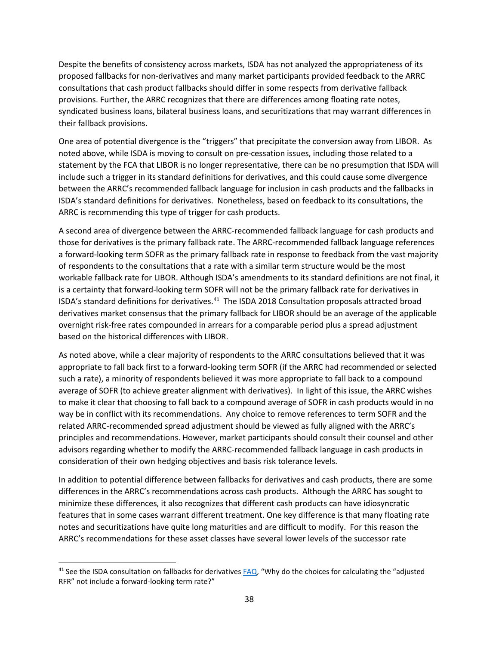Despite the benefits of consistency across markets, ISDA has not analyzed the appropriateness of its proposed fallbacks for non-derivatives and many market participants provided feedback to the ARRC consultations that cash product fallbacks should differ in some respects from derivative fallback provisions. Further, the ARRC recognizes that there are differences among floating rate notes, syndicated business loans, bilateral business loans, and securitizations that may warrant differences in their fallback provisions.

One area of potential divergence is the "triggers" that precipitate the conversion away from LIBOR. As noted above, while ISDA is moving to consult on pre-cessation issues, including those related to a statement by the FCA that LIBOR is no longer representative, there can be no presumption that ISDA will include such a trigger in its standard definitions for derivatives, and this could cause some divergence between the ARRC's recommended fallback language for inclusion in cash products and the fallbacks in ISDA's standard definitions for derivatives. Nonetheless, based on feedback to its consultations, the ARRC is recommending this type of trigger for cash products.

A second area of divergence between the ARRC-recommended fallback language for cash products and those for derivatives is the primary fallback rate. The ARRC-recommended fallback language references a forward-looking term SOFR as the primary fallback rate in response to feedback from the vast majority of respondents to the consultations that a rate with a similar term structure would be the most workable fallback rate for LIBOR. Although ISDA's amendments to its standard definitions are not final, it is a certainty that forward-looking term SOFR will not be the primary fallback rate for derivatives in ISDA's standard definitions for derivatives.[41](#page-37-0) The ISDA 2018 Consultation proposals attracted broad derivatives market consensus that the primary fallback for LIBOR should be an average of the applicable overnight risk-free rates compounded in arrears for a comparable period plus a spread adjustment based on the historical differences with LIBOR.

As noted above, while a clear majority of respondents to the ARRC consultations believed that it was appropriate to fall back first to a forward-looking term SOFR (if the ARRC had recommended or selected such a rate), a minority of respondents believed it was more appropriate to fall back to a compound average of SOFR (to achieve greater alignment with derivatives). In light of this issue, the ARRC wishes to make it clear that choosing to fall back to a compound average of SOFR in cash products would in no way be in conflict with its recommendations. Any choice to remove references to term SOFR and the related ARRC-recommended spread adjustment should be viewed as fully aligned with the ARRC's principles and recommendations. However, market participants should consult their counsel and other advisors regarding whether to modify the ARRC-recommended fallback language in cash products in consideration of their own hedging objectives and basis risk tolerance levels.

In addition to potential difference between fallbacks for derivatives and cash products, there are some differences in the ARRC's recommendations across cash products. Although the ARRC has sought to minimize these differences, it also recognizes that different cash products can have idiosyncratic features that in some cases warrant different treatment. One key difference is that many floating rate notes and securitizations have quite long maturities and are difficult to modify. For this reason the ARRC's recommendations for these asset classes have several lower levels of the successor rate

<span id="page-37-0"></span><sup>&</sup>lt;sup>41</sup> See the ISDA consultation on fallbacks for derivative[s FAQ,](https://www.isda.org/a/RNjEE/Fallback-Consultation-FAQ.pdf) "Why do the choices for calculating the "adjusted RFR" not include a forward-looking term rate?"